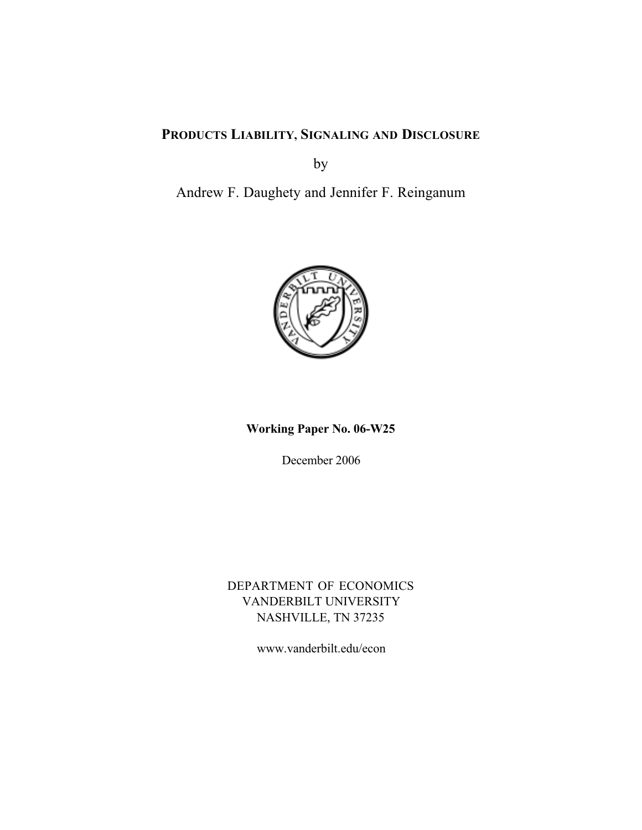# **PRODUCTS LIABILITY, SIGNALING AND DISCLOSURE**

by

Andrew F. Daughety and Jennifer F. Reinganum



**Working Paper No. 06-W25**

December 2006

DEPARTMENT OF ECONOMICS VANDERBILT UNIVERSITY NASHVILLE, TN 37235

www.vanderbilt.edu/econ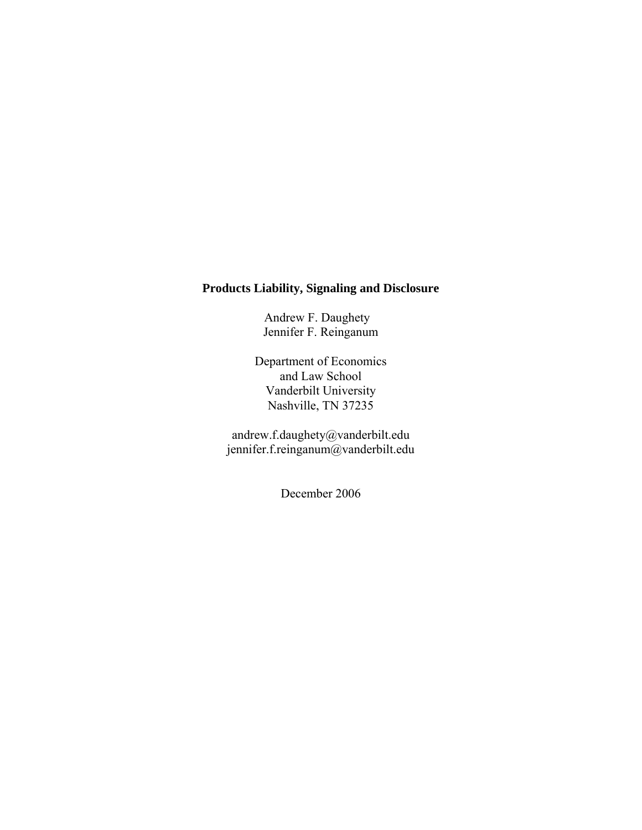## **Products Liability, Signaling and Disclosure**

Andrew F. Daughety Jennifer F. Reinganum

Department of Economics and Law School Vanderbilt University Nashville, TN 37235

andrew.f.daughety@vanderbilt.edu jennifer.f.reinganum@vanderbilt.edu

December 2006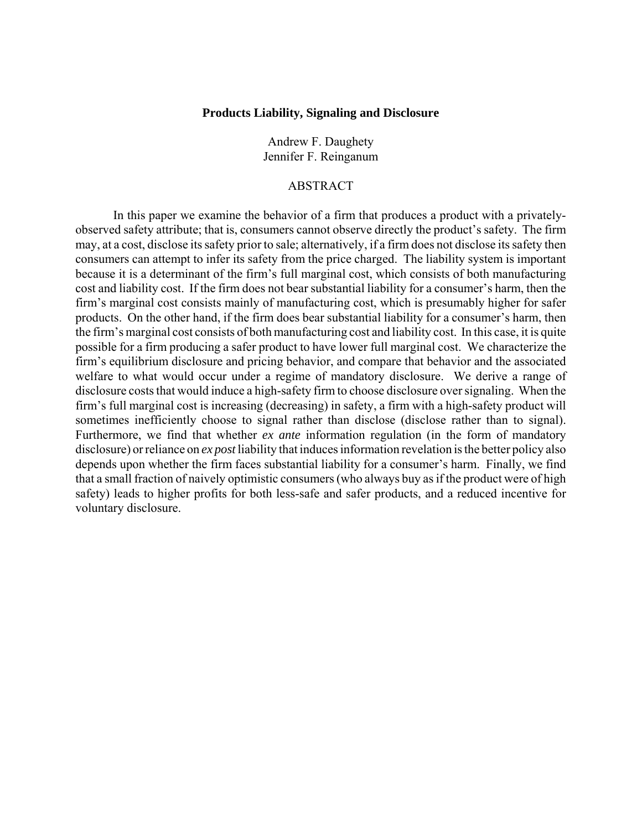#### **Products Liability, Signaling and Disclosure**

Andrew F. Daughety Jennifer F. Reinganum

#### ABSTRACT

In this paper we examine the behavior of a firm that produces a product with a privatelyobserved safety attribute; that is, consumers cannot observe directly the product's safety. The firm may, at a cost, disclose its safety prior to sale; alternatively, if a firm does not disclose its safety then consumers can attempt to infer its safety from the price charged. The liability system is important because it is a determinant of the firm's full marginal cost, which consists of both manufacturing cost and liability cost. If the firm does not bear substantial liability for a consumer's harm, then the firm's marginal cost consists mainly of manufacturing cost, which is presumably higher for safer products. On the other hand, if the firm does bear substantial liability for a consumer's harm, then the firm's marginal cost consists of both manufacturing cost and liability cost. In this case, it is quite possible for a firm producing a safer product to have lower full marginal cost. We characterize the firm's equilibrium disclosure and pricing behavior, and compare that behavior and the associated welfare to what would occur under a regime of mandatory disclosure. We derive a range of disclosure costs that would induce a high-safety firm to choose disclosure over signaling. When the firm's full marginal cost is increasing (decreasing) in safety, a firm with a high-safety product will sometimes inefficiently choose to signal rather than disclose (disclose rather than to signal). Furthermore, we find that whether *ex ante* information regulation (in the form of mandatory disclosure) or reliance on *ex post* liability that induces information revelation is the better policy also depends upon whether the firm faces substantial liability for a consumer's harm. Finally, we find that a small fraction of naively optimistic consumers (who always buy as if the product were of high safety) leads to higher profits for both less-safe and safer products, and a reduced incentive for voluntary disclosure.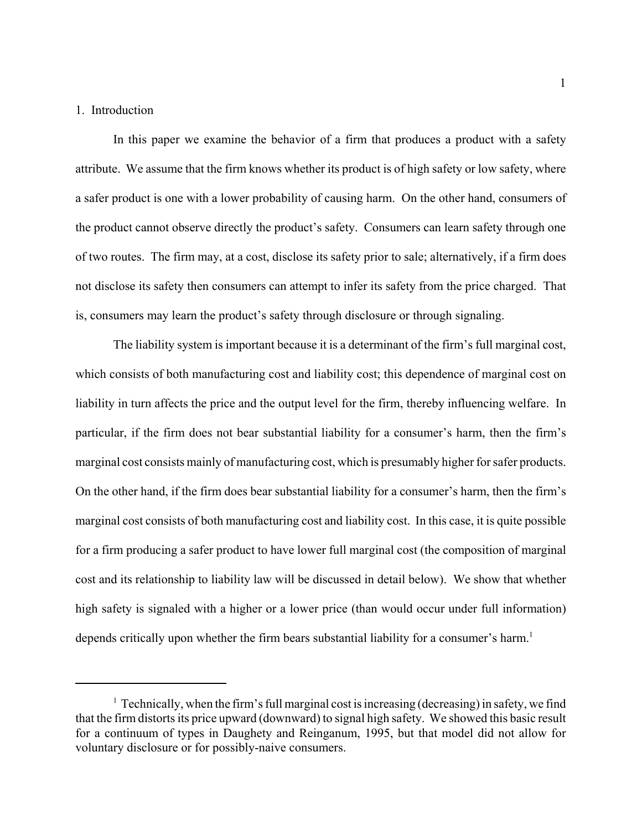#### 1. Introduction

In this paper we examine the behavior of a firm that produces a product with a safety attribute. We assume that the firm knows whether its product is of high safety or low safety, where a safer product is one with a lower probability of causing harm. On the other hand, consumers of the product cannot observe directly the product's safety. Consumers can learn safety through one of two routes. The firm may, at a cost, disclose its safety prior to sale; alternatively, if a firm does not disclose its safety then consumers can attempt to infer its safety from the price charged. That is, consumers may learn the product's safety through disclosure or through signaling.

The liability system is important because it is a determinant of the firm's full marginal cost, which consists of both manufacturing cost and liability cost; this dependence of marginal cost on liability in turn affects the price and the output level for the firm, thereby influencing welfare. In particular, if the firm does not bear substantial liability for a consumer's harm, then the firm's marginal cost consists mainly of manufacturing cost, which is presumably higher for safer products. On the other hand, if the firm does bear substantial liability for a consumer's harm, then the firm's marginal cost consists of both manufacturing cost and liability cost. In this case, it is quite possible for a firm producing a safer product to have lower full marginal cost (the composition of marginal cost and its relationship to liability law will be discussed in detail below). We show that whether high safety is signaled with a higher or a lower price (than would occur under full information) depends critically upon whether the firm bears substantial liability for a consumer's harm.<sup>1</sup>

 $<sup>1</sup>$  Technically, when the firm's full marginal cost is increasing (decreasing) in safety, we find</sup> that the firm distorts its price upward (downward) to signal high safety. We showed this basic result for a continuum of types in Daughety and Reinganum, 1995, but that model did not allow for voluntary disclosure or for possibly-naive consumers.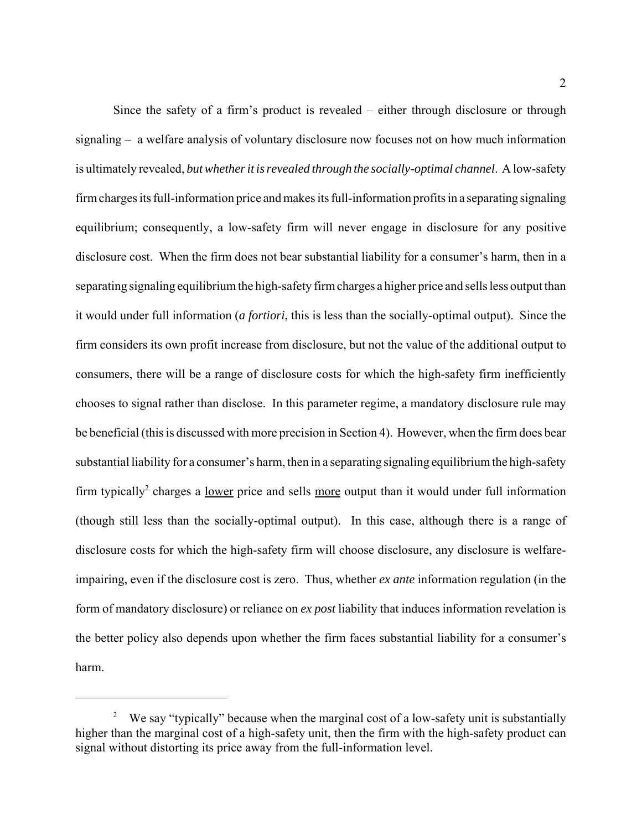Since the safety of a firm's product is revealed – either through disclosure or through signaling – a welfare analysis of voluntary disclosure now focuses not on how much information is ultimately revealed, *but whether it is revealed through the socially-optimal channel*. A low-safety firm charges its full-information price and makes its full-information profits in a separating signaling equilibrium; consequently, a low-safety firm will never engage in disclosure for any positive disclosure cost. When the firm does not bear substantial liability for a consumer's harm, then in a separating signaling equilibrium the high-safety firm charges a higher price and sells less output than it would under full information (*a fortiori*, this is less than the socially-optimal output). Since the firm considers its own profit increase from disclosure, but not the value of the additional output to consumers, there will be a range of disclosure costs for which the high-safety firm inefficiently chooses to signal rather than disclose. In this parameter regime, a mandatory disclosure rule may be beneficial (this is discussed with more precision in Section 4). However, when the firm does bear substantial liability for a consumer's harm, then in a separating signaling equilibrium the high-safety firm typically<sup>2</sup> charges a <u>lower</u> price and sells more output than it would under full information (though still less than the socially-optimal output). In this case, although there is a range of disclosure costs for which the high-safety firm will choose disclosure, any disclosure is welfareimpairing, even if the disclosure cost is zero. Thus, whether *ex ante* information regulation (in the form of mandatory disclosure) or reliance on *ex post* liability that induces information revelation is the better policy also depends upon whether the firm faces substantial liability for a consumer's harm.

<sup>&</sup>lt;sup>2</sup> We say "typically" because when the marginal cost of a low-safety unit is substantially higher than the marginal cost of a high-safety unit, then the firm with the high-safety product can signal without distorting its price away from the full-information level.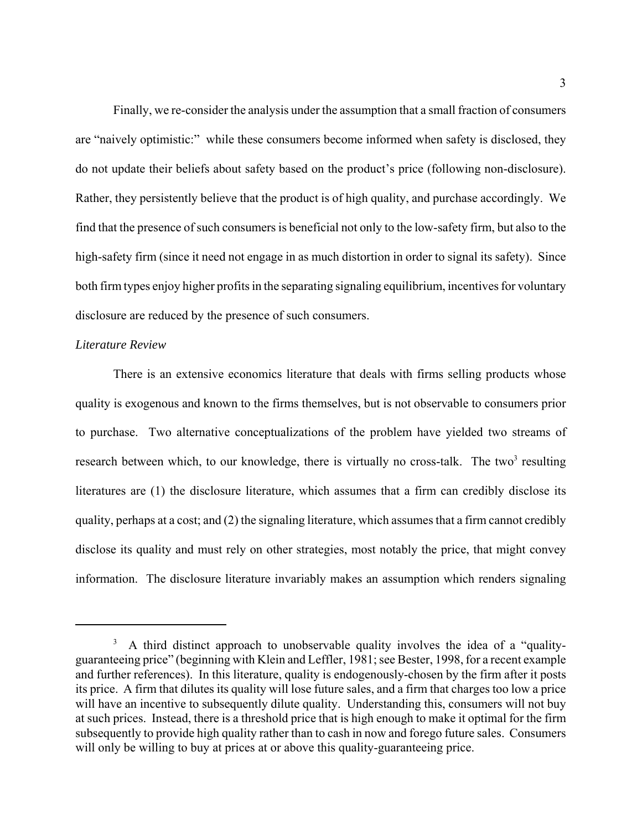Finally, we re-consider the analysis under the assumption that a small fraction of consumers are "naively optimistic:" while these consumers become informed when safety is disclosed, they do not update their beliefs about safety based on the product's price (following non-disclosure). Rather, they persistently believe that the product is of high quality, and purchase accordingly. We find that the presence of such consumers is beneficial not only to the low-safety firm, but also to the high-safety firm (since it need not engage in as much distortion in order to signal its safety). Since both firm types enjoy higher profits in the separating signaling equilibrium, incentives for voluntary disclosure are reduced by the presence of such consumers.

#### *Literature Review*

There is an extensive economics literature that deals with firms selling products whose quality is exogenous and known to the firms themselves, but is not observable to consumers prior to purchase. Two alternative conceptualizations of the problem have yielded two streams of research between which, to our knowledge, there is virtually no cross-talk. The two<sup>3</sup> resulting literatures are (1) the disclosure literature, which assumes that a firm can credibly disclose its quality, perhaps at a cost; and (2) the signaling literature, which assumes that a firm cannot credibly disclose its quality and must rely on other strategies, most notably the price, that might convey information. The disclosure literature invariably makes an assumption which renders signaling

<sup>&</sup>lt;sup>3</sup> A third distinct approach to unobservable quality involves the idea of a "qualityguaranteeing price" (beginning with Klein and Leffler, 1981; see Bester, 1998, for a recent example and further references). In this literature, quality is endogenously-chosen by the firm after it posts its price. A firm that dilutes its quality will lose future sales, and a firm that charges too low a price will have an incentive to subsequently dilute quality. Understanding this, consumers will not buy at such prices. Instead, there is a threshold price that is high enough to make it optimal for the firm subsequently to provide high quality rather than to cash in now and forego future sales. Consumers will only be willing to buy at prices at or above this quality-guaranteeing price.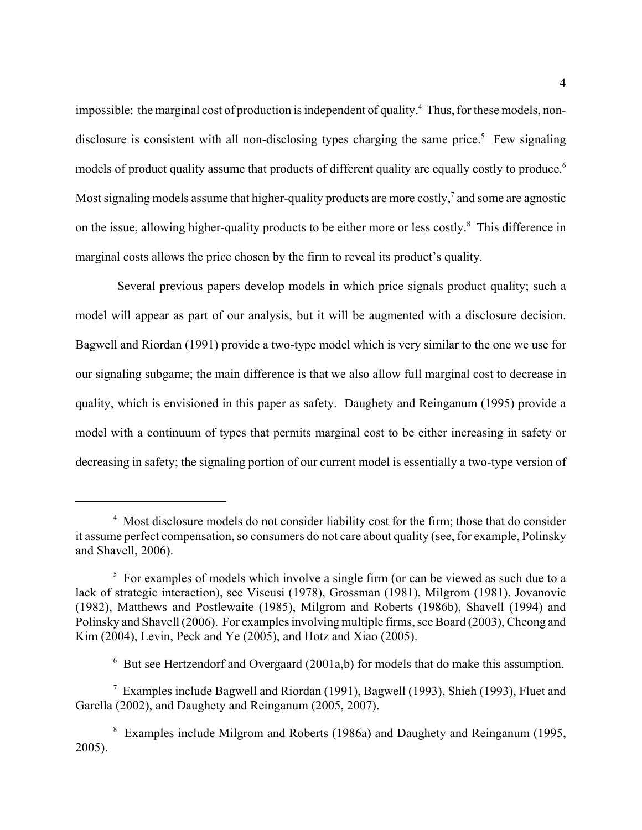impossible: the marginal cost of production is independent of quality.<sup>4</sup> Thus, for these models, nondisclosure is consistent with all non-disclosing types charging the same price.<sup>5</sup> Few signaling models of product quality assume that products of different quality are equally costly to produce.<sup>6</sup> Most signaling models assume that higher-quality products are more costly,<sup>7</sup> and some are agnostic on the issue, allowing higher-quality products to be either more or less costly.<sup>8</sup> This difference in marginal costs allows the price chosen by the firm to reveal its product's quality.

 Several previous papers develop models in which price signals product quality; such a model will appear as part of our analysis, but it will be augmented with a disclosure decision. Bagwell and Riordan (1991) provide a two-type model which is very similar to the one we use for our signaling subgame; the main difference is that we also allow full marginal cost to decrease in quality, which is envisioned in this paper as safety. Daughety and Reinganum (1995) provide a model with a continuum of types that permits marginal cost to be either increasing in safety or decreasing in safety; the signaling portion of our current model is essentially a two-type version of

 $6$  But see Hertzendorf and Overgaard (2001a,b) for models that do make this assumption.

<sup>&</sup>lt;sup>4</sup> Most disclosure models do not consider liability cost for the firm; those that do consider it assume perfect compensation, so consumers do not care about quality (see, for example, Polinsky and Shavell, 2006).

<sup>&</sup>lt;sup>5</sup> For examples of models which involve a single firm (or can be viewed as such due to a lack of strategic interaction), see Viscusi (1978), Grossman (1981), Milgrom (1981), Jovanovic (1982), Matthews and Postlewaite (1985), Milgrom and Roberts (1986b), Shavell (1994) and Polinsky and Shavell (2006). For examples involving multiple firms, see Board (2003), Cheong and Kim (2004), Levin, Peck and Ye (2005), and Hotz and Xiao (2005).

<sup>7</sup> Examples include Bagwell and Riordan (1991), Bagwell (1993), Shieh (1993), Fluet and Garella (2002), and Daughety and Reinganum (2005, 2007).

<sup>&</sup>lt;sup>8</sup> Examples include Milgrom and Roberts (1986a) and Daughety and Reinganum (1995, 2005).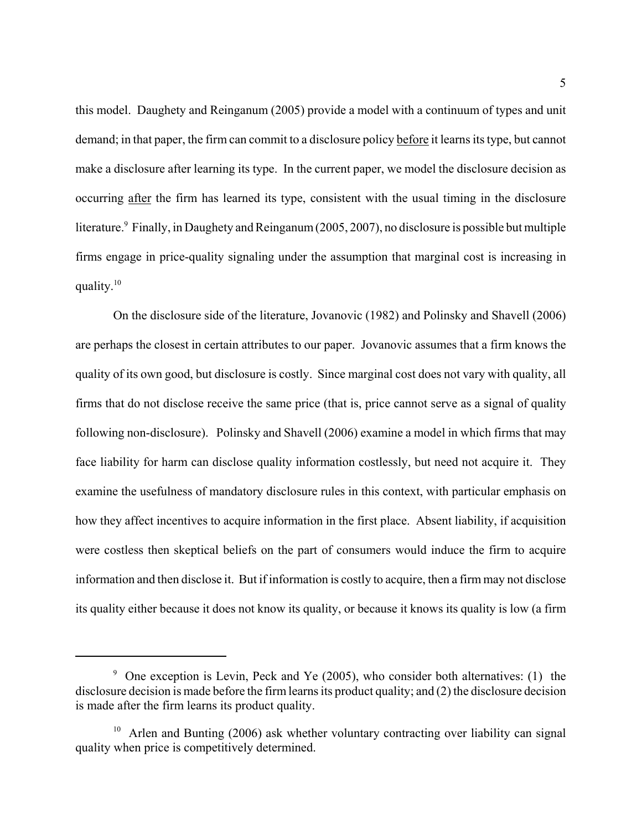this model. Daughety and Reinganum (2005) provide a model with a continuum of types and unit demand; in that paper, the firm can commit to a disclosure policy before it learns its type, but cannot make a disclosure after learning its type. In the current paper, we model the disclosure decision as occurring after the firm has learned its type, consistent with the usual timing in the disclosure literature.<sup>9</sup> Finally, in Daughety and Reinganum (2005, 2007), no disclosure is possible but multiple firms engage in price-quality signaling under the assumption that marginal cost is increasing in quality. $10$ 

On the disclosure side of the literature, Jovanovic (1982) and Polinsky and Shavell (2006) are perhaps the closest in certain attributes to our paper. Jovanovic assumes that a firm knows the quality of its own good, but disclosure is costly. Since marginal cost does not vary with quality, all firms that do not disclose receive the same price (that is, price cannot serve as a signal of quality following non-disclosure). Polinsky and Shavell (2006) examine a model in which firms that may face liability for harm can disclose quality information costlessly, but need not acquire it. They examine the usefulness of mandatory disclosure rules in this context, with particular emphasis on how they affect incentives to acquire information in the first place. Absent liability, if acquisition were costless then skeptical beliefs on the part of consumers would induce the firm to acquire information and then disclose it. But if information is costly to acquire, then a firm may not disclose its quality either because it does not know its quality, or because it knows its quality is low (a firm

<sup>&</sup>lt;sup>9</sup> One exception is Levin, Peck and Ye (2005), who consider both alternatives: (1) the disclosure decision is made before the firm learns its product quality; and (2) the disclosure decision is made after the firm learns its product quality.

 $10$  Arlen and Bunting (2006) ask whether voluntary contracting over liability can signal quality when price is competitively determined.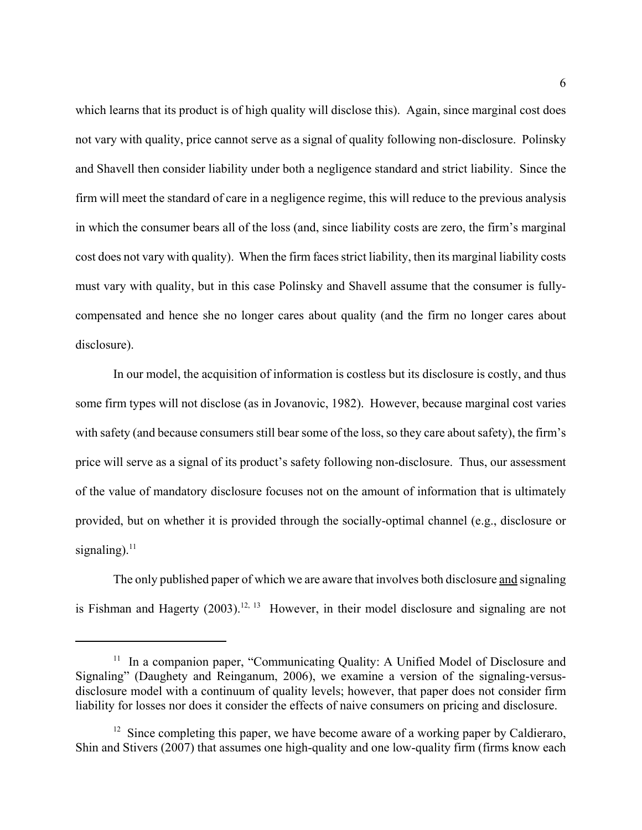which learns that its product is of high quality will disclose this). Again, since marginal cost does not vary with quality, price cannot serve as a signal of quality following non-disclosure. Polinsky and Shavell then consider liability under both a negligence standard and strict liability. Since the firm will meet the standard of care in a negligence regime, this will reduce to the previous analysis in which the consumer bears all of the loss (and, since liability costs are zero, the firm's marginal cost does not vary with quality). When the firm faces strict liability, then its marginal liability costs must vary with quality, but in this case Polinsky and Shavell assume that the consumer is fullycompensated and hence she no longer cares about quality (and the firm no longer cares about disclosure).

In our model, the acquisition of information is costless but its disclosure is costly, and thus some firm types will not disclose (as in Jovanovic, 1982). However, because marginal cost varies with safety (and because consumers still bear some of the loss, so they care about safety), the firm's price will serve as a signal of its product's safety following non-disclosure. Thus, our assessment of the value of mandatory disclosure focuses not on the amount of information that is ultimately provided, but on whether it is provided through the socially-optimal channel (e.g., disclosure or signaling). $^{11}$ 

The only published paper of which we are aware that involves both disclosure and signaling is Fishman and Hagerty (2003).<sup>12, 13</sup> However, in their model disclosure and signaling are not

<sup>&</sup>lt;sup>11</sup> In a companion paper, "Communicating Quality: A Unified Model of Disclosure and Signaling" (Daughety and Reinganum, 2006), we examine a version of the signaling-versusdisclosure model with a continuum of quality levels; however, that paper does not consider firm liability for losses nor does it consider the effects of naive consumers on pricing and disclosure.

 $12$  Since completing this paper, we have become aware of a working paper by Caldieraro, Shin and Stivers (2007) that assumes one high-quality and one low-quality firm (firms know each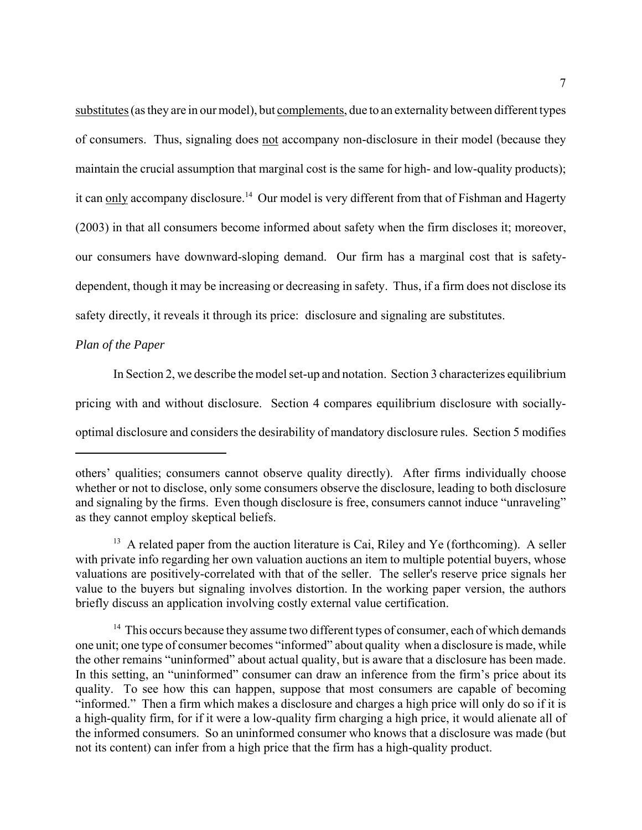substitutes (as they are in our model), but complements, due to an externality between different types of consumers. Thus, signaling does not accompany non-disclosure in their model (because they maintain the crucial assumption that marginal cost is the same for high- and low-quality products); it can only accompany disclosure.<sup>14</sup> Our model is very different from that of Fishman and Hagerty (2003) in that all consumers become informed about safety when the firm discloses it; moreover, our consumers have downward-sloping demand. Our firm has a marginal cost that is safetydependent, though it may be increasing or decreasing in safety. Thus, if a firm does not disclose its safety directly, it reveals it through its price: disclosure and signaling are substitutes.

## *Plan of the Paper*

In Section 2, we describe the model set-up and notation. Section 3 characterizes equilibrium pricing with and without disclosure. Section 4 compares equilibrium disclosure with sociallyoptimal disclosure and considers the desirability of mandatory disclosure rules. Section 5 modifies

others' qualities; consumers cannot observe quality directly). After firms individually choose whether or not to disclose, only some consumers observe the disclosure, leading to both disclosure and signaling by the firms. Even though disclosure is free, consumers cannot induce "unraveling" as they cannot employ skeptical beliefs.

<sup>&</sup>lt;sup>13</sup> A related paper from the auction literature is Cai, Riley and Ye (forthcoming). A seller with private info regarding her own valuation auctions an item to multiple potential buyers, whose valuations are positively-correlated with that of the seller. The seller's reserve price signals her value to the buyers but signaling involves distortion. In the working paper version, the authors briefly discuss an application involving costly external value certification.

 $14$  This occurs because they assume two different types of consumer, each of which demands one unit; one type of consumer becomes "informed" about quality when a disclosure is made, while the other remains "uninformed" about actual quality, but is aware that a disclosure has been made. In this setting, an "uninformed" consumer can draw an inference from the firm's price about its quality. To see how this can happen, suppose that most consumers are capable of becoming "informed." Then a firm which makes a disclosure and charges a high price will only do so if it is a high-quality firm, for if it were a low-quality firm charging a high price, it would alienate all of the informed consumers. So an uninformed consumer who knows that a disclosure was made (but not its content) can infer from a high price that the firm has a high-quality product.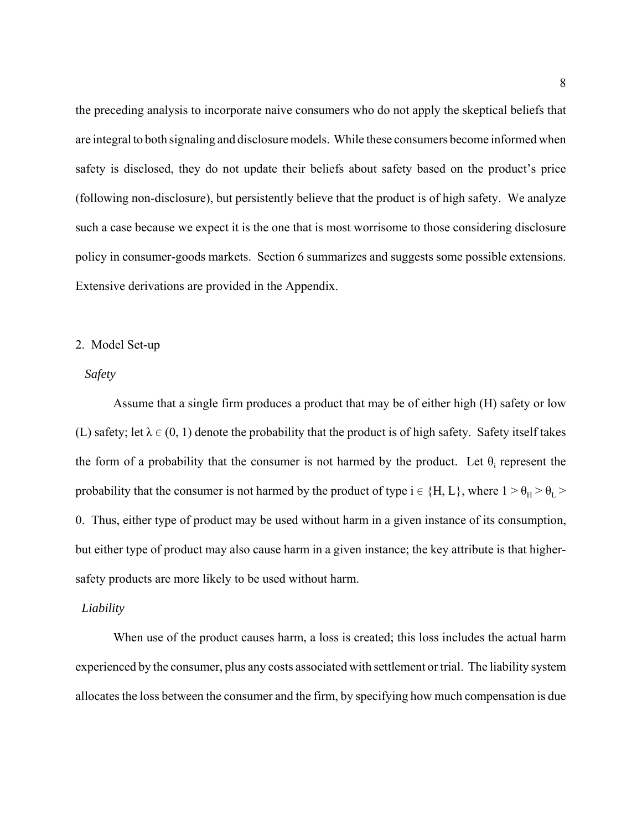the preceding analysis to incorporate naive consumers who do not apply the skeptical beliefs that are integral to both signaling and disclosure models. While these consumers become informed when safety is disclosed, they do not update their beliefs about safety based on the product's price (following non-disclosure), but persistently believe that the product is of high safety. We analyze such a case because we expect it is the one that is most worrisome to those considering disclosure policy in consumer-goods markets. Section 6 summarizes and suggests some possible extensions. Extensive derivations are provided in the Appendix.

## 2. Model Set-up

## *Safety*

Assume that a single firm produces a product that may be of either high (H) safety or low (L) safety; let  $\lambda \in (0, 1)$  denote the probability that the product is of high safety. Safety itself takes the form of a probability that the consumer is not harmed by the product. Let  $\theta_i$  represent the probability that the consumer is not harmed by the product of type  $i \in \{H, L\}$ , where  $1 > \theta_H > \theta_L >$ 0. Thus, either type of product may be used without harm in a given instance of its consumption, but either type of product may also cause harm in a given instance; the key attribute is that highersafety products are more likely to be used without harm.

#### *Liability*

When use of the product causes harm, a loss is created; this loss includes the actual harm experienced by the consumer, plus any costs associated with settlement or trial. The liability system allocates the loss between the consumer and the firm, by specifying how much compensation is due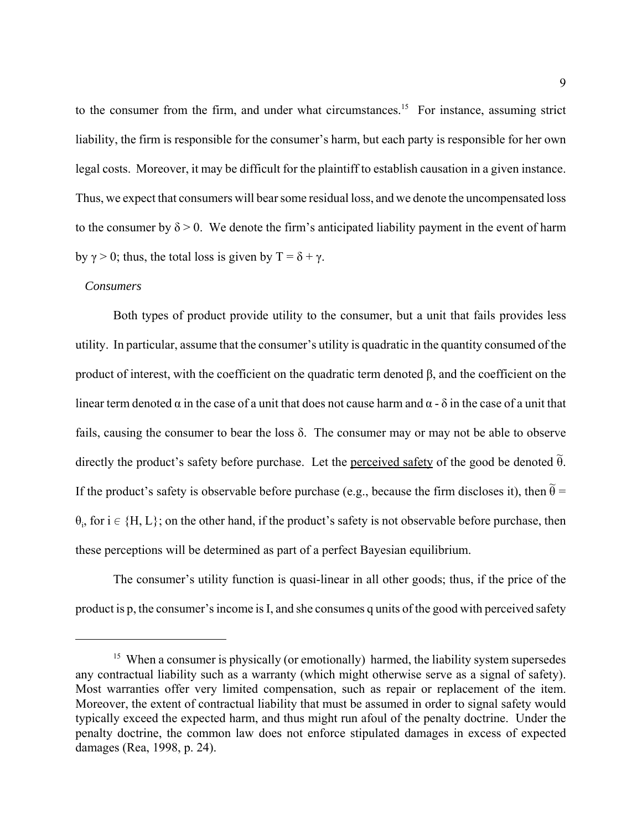to the consumer from the firm, and under what circumstances.<sup>15</sup> For instance, assuming strict liability, the firm is responsible for the consumer's harm, but each party is responsible for her own legal costs. Moreover, it may be difficult for the plaintiff to establish causation in a given instance. Thus, we expect that consumers will bear some residual loss, and we denote the uncompensated loss to the consumer by  $\delta > 0$ . We denote the firm's anticipated liability payment in the event of harm by  $\gamma > 0$ ; thus, the total loss is given by  $T = \delta + \gamma$ .

#### *Consumers*

Both types of product provide utility to the consumer, but a unit that fails provides less utility. In particular, assume that the consumer's utility is quadratic in the quantity consumed of the product of interest, with the coefficient on the quadratic term denoted β, and the coefficient on the linear term denoted  $\alpha$  in the case of a unit that does not cause harm and  $\alpha$  -  $\delta$  in the case of a unit that fails, causing the consumer to bear the loss δ. The consumer may or may not be able to observe directly the product's safety before purchase. Let the <u>perceived safety</u> of the good be denoted  $\tilde{\theta}$ . If the product's safety is observable before purchase (e.g., because the firm discloses it), then  $\tilde{\theta} =$  $\theta_i$ , for  $i \in \{H, L\}$ ; on the other hand, if the product's safety is not observable before purchase, then these perceptions will be determined as part of a perfect Bayesian equilibrium.

The consumer's utility function is quasi-linear in all other goods; thus, if the price of the product is p, the consumer's income is I, and she consumes q units of the good with perceived safety

<sup>&</sup>lt;sup>15</sup> When a consumer is physically (or emotionally) harmed, the liability system supersedes any contractual liability such as a warranty (which might otherwise serve as a signal of safety). Most warranties offer very limited compensation, such as repair or replacement of the item. Moreover, the extent of contractual liability that must be assumed in order to signal safety would typically exceed the expected harm, and thus might run afoul of the penalty doctrine. Under the penalty doctrine, the common law does not enforce stipulated damages in excess of expected damages (Rea, 1998, p. 24).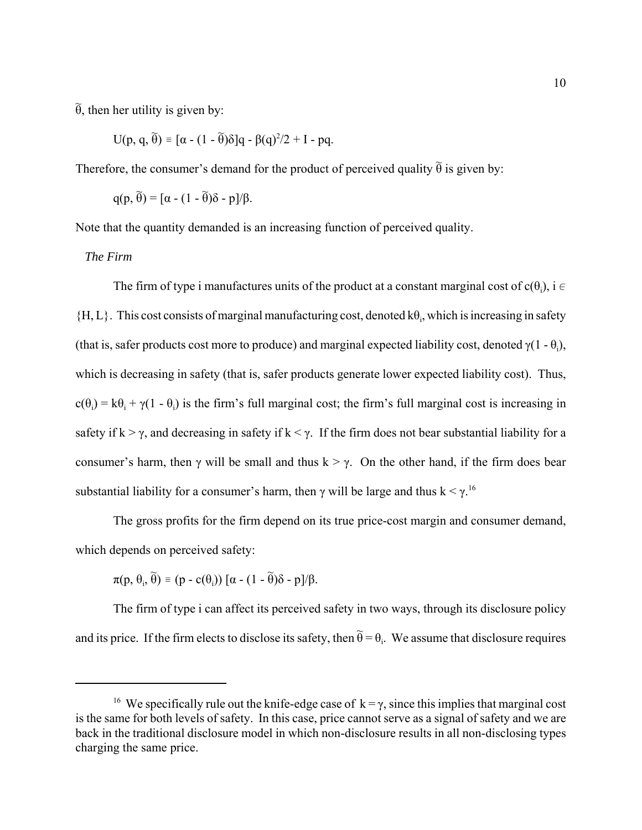$\widetilde{\theta}$ , then her utility is given by:

$$
U(p, q, \tilde{\theta}) \equiv [\alpha - (1 - \tilde{\theta})\delta]q - \beta(q)^2/2 + I - pq.
$$

Therefore, the consumer's demand for the product of perceived quality  $\tilde{\theta}$  is given by:

$$
q(p, \widetilde{\theta}) = [\alpha - (1 - \widetilde{\theta})\delta - p]/\beta.
$$

Note that the quantity demanded is an increasing function of perceived quality.

## *The Firm*

The firm of type i manufactures units of the product at a constant marginal cost of  $c(\theta_i)$ , i  $\in$  ${H, L}$ . This cost consists of marginal manufacturing cost, denoted  $k\theta_i$ , which is increasing in safety (that is, safer products cost more to produce) and marginal expected liability cost, denoted  $\gamma(1 - \theta_i)$ , which is decreasing in safety (that is, safer products generate lower expected liability cost). Thus,  $c(\theta_i) = k\theta_i + \gamma(1 - \theta_i)$  is the firm's full marginal cost; the firm's full marginal cost is increasing in safety if  $k > \gamma$ , and decreasing in safety if  $k < \gamma$ . If the firm does not bear substantial liability for a consumer's harm, then γ will be small and thus  $k > \gamma$ . On the other hand, if the firm does bear substantial liability for a consumer's harm, then  $\gamma$  will be large and thus  $k < \gamma$ .<sup>16</sup>

The gross profits for the firm depend on its true price-cost margin and consumer demand, which depends on perceived safety:

$$
\pi(p, \theta_i, \widetilde{\theta}) \equiv (p - c(\theta_i)) [\alpha - (1 - \widetilde{\theta})\delta - p]/\beta.
$$

The firm of type i can affect its perceived safety in two ways, through its disclosure policy and its price. If the firm elects to disclose its safety, then  $\widetilde{\theta} = \theta_i$ . We assume that disclosure requires

<sup>&</sup>lt;sup>16</sup> We specifically rule out the knife-edge case of  $k = \gamma$ , since this implies that marginal cost is the same for both levels of safety. In this case, price cannot serve as a signal of safety and we are back in the traditional disclosure model in which non-disclosure results in all non-disclosing types charging the same price.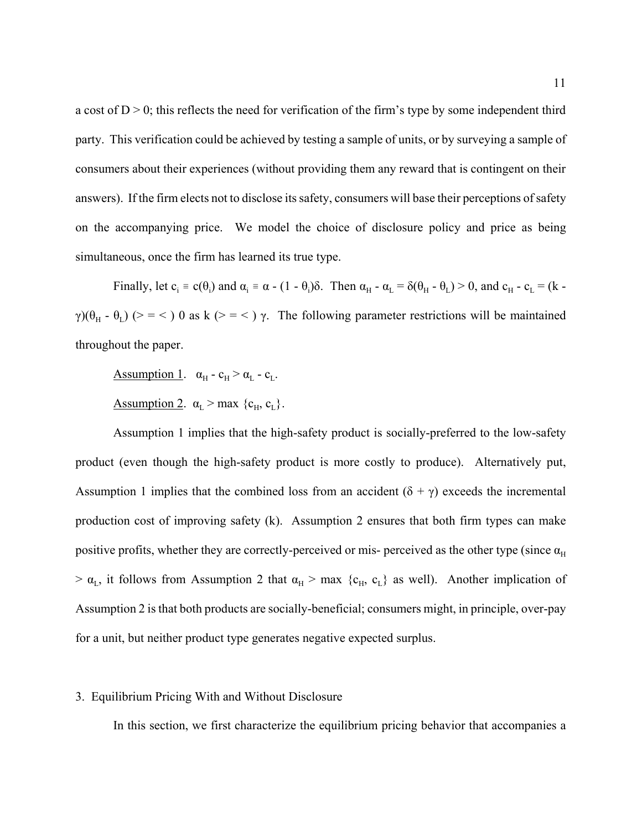a cost of  $D > 0$ ; this reflects the need for verification of the firm's type by some independent third party. This verification could be achieved by testing a sample of units, or by surveying a sample of consumers about their experiences (without providing them any reward that is contingent on their answers). If the firm elects not to disclose its safety, consumers will base their perceptions of safety on the accompanying price. We model the choice of disclosure policy and price as being simultaneous, once the firm has learned its true type.

Finally, let  $c_i = c(\theta_i)$  and  $\alpha_i = \alpha - (1 - \theta_i)\delta$ . Then  $\alpha_H - \alpha_L = \delta(\theta_H - \theta_L) > 0$ , and  $c_H - c_L = (k - \theta_L)\delta$ . γ)( $\theta_H$  -  $\theta_L$ ) (> = < ) 0 as k (> = < ) γ. The following parameter restrictions will be maintained throughout the paper.

Assumption 1.  $\alpha_{\rm H}$  -  $\rm c_{\rm H}$  >  $\alpha_{\rm L}$  -  $\rm c_{\rm L}$ .

Assumption 2.  $\alpha_L > \text{max } \{c_H, c_L\}.$ 

Assumption 1 implies that the high-safety product is socially-preferred to the low-safety product (even though the high-safety product is more costly to produce). Alternatively put, Assumption 1 implies that the combined loss from an accident  $(\delta + \gamma)$  exceeds the incremental production cost of improving safety (k). Assumption 2 ensures that both firm types can make positive profits, whether they are correctly-perceived or mis- perceived as the other type (since  $\alpha_H$ )  $> \alpha_L$ , it follows from Assumption 2 that  $\alpha_H > \max \{c_H, c_L\}$  as well). Another implication of Assumption 2 is that both products are socially-beneficial; consumers might, in principle, over-pay for a unit, but neither product type generates negative expected surplus.

#### 3. Equilibrium Pricing With and Without Disclosure

In this section, we first characterize the equilibrium pricing behavior that accompanies a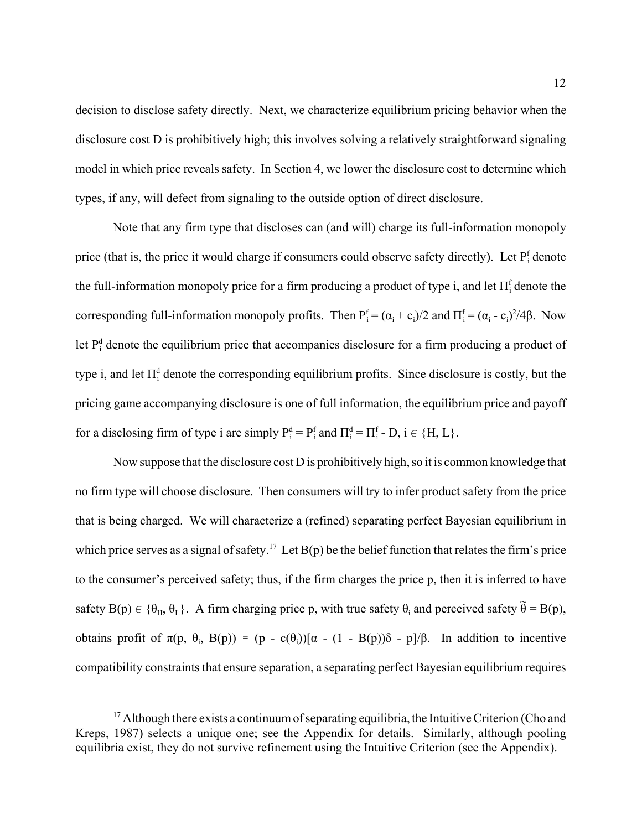decision to disclose safety directly. Next, we characterize equilibrium pricing behavior when the disclosure cost D is prohibitively high; this involves solving a relatively straightforward signaling model in which price reveals safety. In Section 4, we lower the disclosure cost to determine which types, if any, will defect from signaling to the outside option of direct disclosure.

Note that any firm type that discloses can (and will) charge its full-information monopoly price (that is, the price it would charge if consumers could observe safety directly). Let P<sup>f</sup><sub>i</sub> denote the full-information monopoly price for a firm producing a product of type i, and let  $\Pi_i^{\text{f}}$  denote the corresponding full-information monopoly profits. Then  $P_i^f = (\alpha_i + c_i)/2$  and  $\Pi_i^f = (\alpha_i - c_i)^2/4\beta$ . Now let  $P_i^d$  denote the equilibrium price that accompanies disclosure for a firm producing a product of type i, and let  $\Pi_i^d$  denote the corresponding equilibrium profits. Since disclosure is costly, but the pricing game accompanying disclosure is one of full information, the equilibrium price and payoff for a disclosing firm of type i are simply  $P_i^d = P_i^f$  and  $\Pi_i^d = \Pi_i^f$  - D,  $i \in \{H, L\}$ .

Now suppose that the disclosure cost D is prohibitively high, so it is common knowledge that no firm type will choose disclosure. Then consumers will try to infer product safety from the price that is being charged. We will characterize a (refined) separating perfect Bayesian equilibrium in which price serves as a signal of safety.<sup>17</sup> Let  $B(p)$  be the belief function that relates the firm's price to the consumer's perceived safety; thus, if the firm charges the price p, then it is inferred to have safety  $B(p) \in {\theta_H, \theta_L}$ . A firm charging price p, with true safety  $\theta_i$  and perceived safety  $\tilde{\theta} = B(p)$ , obtains profit of  $\pi(p, \theta_i, B(p)) = (p - c(\theta_i))[\alpha - (1 - B(p))\delta - p]/\beta$ . In addition to incentive compatibility constraints that ensure separation, a separating perfect Bayesian equilibrium requires

<sup>&</sup>lt;sup>17</sup> Although there exists a continuum of separating equilibria, the Intuitive Criterion (Cho and Kreps, 1987) selects a unique one; see the Appendix for details. Similarly, although pooling equilibria exist, they do not survive refinement using the Intuitive Criterion (see the Appendix).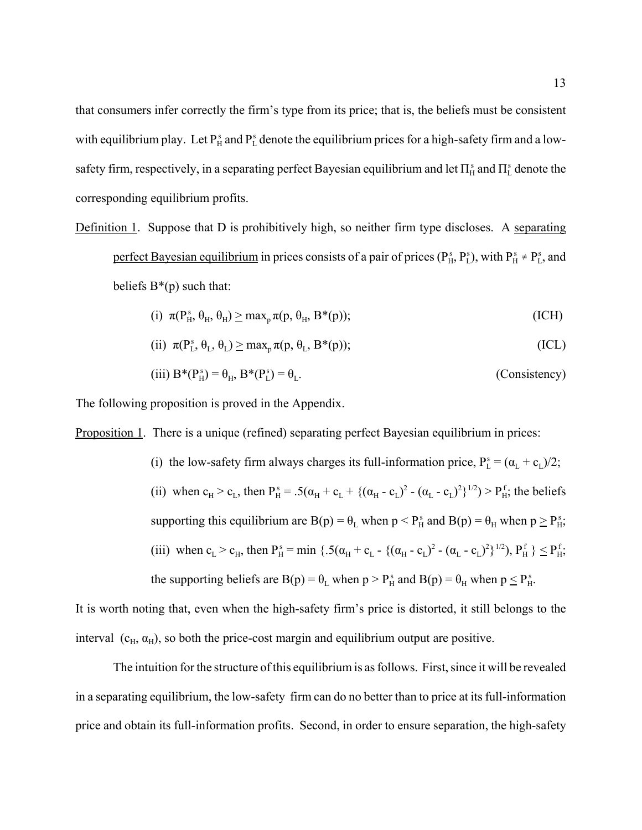that consumers infer correctly the firm's type from its price; that is, the beliefs must be consistent with equilibrium play. Let  $P_{H}^{s}$  and  $P_{L}^{s}$  denote the equilibrium prices for a high-safety firm and a lowsafety firm, respectively, in a separating perfect Bayesian equilibrium and let  $\Pi_H^s$  and  $\Pi_L^s$  denote the corresponding equilibrium profits.

Definition 1. Suppose that D is prohibitively high, so neither firm type discloses. A separating perfect Bayesian equilibrium in prices consists of a pair of prices ( $P_H^s$ ,  $P_L^s$ ), with  $P_H^s \neq P_L^s$ , and beliefs  $B^*(p)$  such that:

(i) 
$$
\pi(P_H^s, \theta_H, \theta_H) \ge \max_p \pi(p, \theta_H, B^*(p));
$$
 (ICH)

(ii) 
$$
\pi(P_L^s, \theta_L, \theta_L) \ge \max_p \pi(p, \theta_L, B^*(p));
$$
 (ICL)

(iii) 
$$
B^*(P_H^s) = \theta_H
$$
,  $B^*(P_L^s) = \theta_L$ . (Consistency)

The following proposition is proved in the Appendix.

Proposition 1. There is a unique (refined) separating perfect Bayesian equilibrium in prices:

(i) the low-safety firm always charges its full-information price,  $P_L^s = (\alpha_L + c_L)/2$ ; (ii) when  $c_H > c_L$ , then  $P_H^s = .5(\alpha_H + c_L + {(\alpha_H - c_L)^2 - (\alpha_L - c_L)^2})^{1/2} > P_H^f$ ; the beliefs supporting this equilibrium are  $B(p) = \theta_L$  when  $p \le P_H^s$  and  $B(p) = \theta_H$  when  $p \ge P_H^s$ . (iii) when  $c_L > c_H$ , then  $P_H^s = \min \{ .5(\alpha_H + c_L - (\alpha_H - c_L)^2 - (\alpha_L - c_L)^2 )^{1/2}), P_H^f \} \le P_H^f$ . the supporting beliefs are  $B(p) = \theta_L$  when  $p > P_H^s$  and  $B(p) = \theta_H$  when  $p \le P_H^s$ .

It is worth noting that, even when the high-safety firm's price is distorted, it still belongs to the interval  $(c_H, \alpha_H)$ , so both the price-cost margin and equilibrium output are positive.

The intuition for the structure of this equilibrium is as follows. First, since it will be revealed in a separating equilibrium, the low-safety firm can do no better than to price at its full-information price and obtain its full-information profits. Second, in order to ensure separation, the high-safety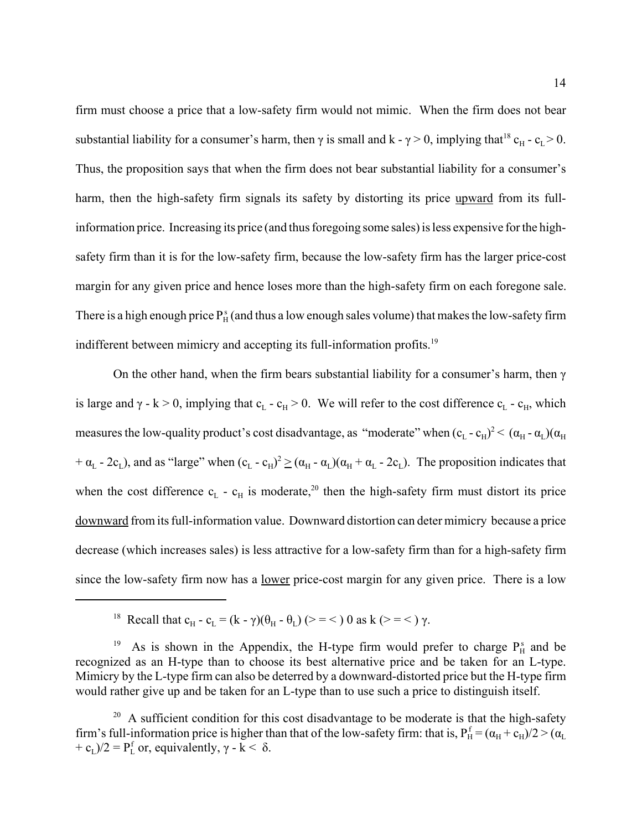firm must choose a price that a low-safety firm would not mimic. When the firm does not bear substantial liability for a consumer's harm, then  $\gamma$  is small and k -  $\gamma > 0$ , implying that<sup>18</sup> c<sub>H</sub> - c<sub>L</sub> > 0. Thus, the proposition says that when the firm does not bear substantial liability for a consumer's harm, then the high-safety firm signals its safety by distorting its price upward from its fullinformation price. Increasing its price (and thus foregoing some sales) is less expensive for the highsafety firm than it is for the low-safety firm, because the low-safety firm has the larger price-cost margin for any given price and hence loses more than the high-safety firm on each foregone sale. There is a high enough price  $P_H^s$  (and thus a low enough sales volume) that makes the low-safety firm indifferent between mimicry and accepting its full-information profits.<sup>19</sup>

On the other hand, when the firm bears substantial liability for a consumer's harm, then  $\gamma$ is large and  $\gamma$  - k > 0, implying that c<sub>L</sub> - c<sub>H</sub> > 0. We will refer to the cost difference c<sub>L</sub> - c<sub>H</sub>, which measures the low-quality product's cost disadvantage, as "moderate" when  $(c_L - c_H)^2 < (\alpha_H - \alpha_L)(\alpha_H)$ +  $\alpha_L$  - 2c<sub>L</sub>), and as "large" when  $(c_L - c_H)^2 \ge (\alpha_H - \alpha_L)(\alpha_H + \alpha_L - 2c_L)$ . The proposition indicates that when the cost difference  $c_L$  -  $c_H$  is moderate,<sup>20</sup> then the high-safety firm must distort its price downward from its full-information value. Downward distortion can deter mimicry because a price decrease (which increases sales) is less attractive for a low-safety firm than for a high-safety firm since the low-safety firm now has a <u>lower</u> price-cost margin for any given price. There is a low

<sup>&</sup>lt;sup>18</sup> Recall that  $c_H - c_L = (k - \gamma)(\theta_H - \theta_L)$  (> = < ) 0 as k (> = < )  $\gamma$ .

<sup>&</sup>lt;sup>19</sup> As is shown in the Appendix, the H-type firm would prefer to charge  $P_H^s$  and be recognized as an H-type than to choose its best alternative price and be taken for an L-type. Mimicry by the L-type firm can also be deterred by a downward-distorted price but the H-type firm would rather give up and be taken for an L-type than to use such a price to distinguish itself.

 $20$  A sufficient condition for this cost disadvantage to be moderate is that the high-safety firm's full-information price is higher than that of the low-safety firm: that is,  $P_H^f = (\alpha_H + c_H)/2 > (\alpha_L)$ + c<sub>L</sub>)/2 =  $P_L^f$  or, equivalently,  $\gamma$  - k <  $\delta$ .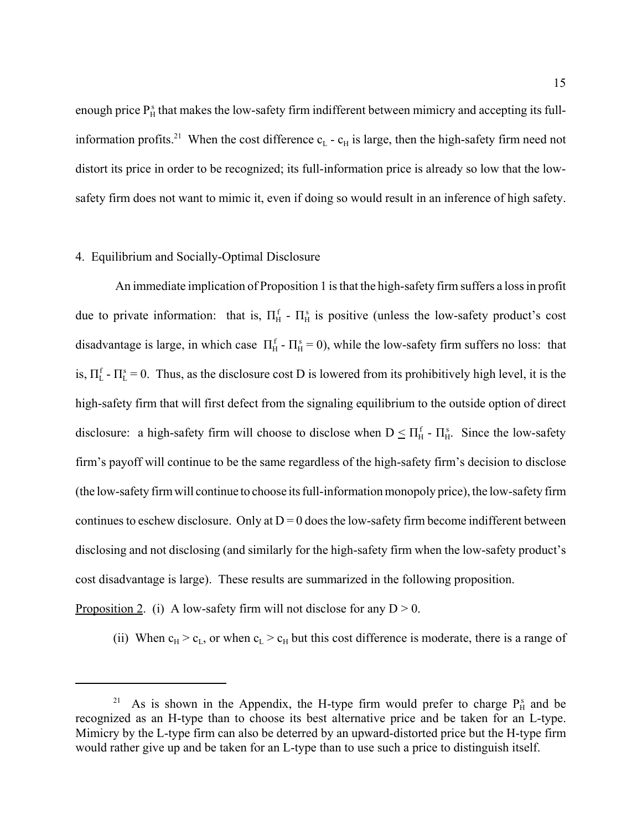enough price  $P_H^s$  that makes the low-safety firm indifferent between mimicry and accepting its fullinformation profits.<sup>21</sup> When the cost difference  $c_{L}$  -  $c_{H}$  is large, then the high-safety firm need not distort its price in order to be recognized; its full-information price is already so low that the lowsafety firm does not want to mimic it, even if doing so would result in an inference of high safety.

#### 4. Equilibrium and Socially-Optimal Disclosure

 An immediate implication of Proposition 1 is that the high-safety firm suffers a loss in profit due to private information: that is,  $\Pi_H^f$  -  $\Pi_H^s$  is positive (unless the low-safety product's cost disadvantage is large, in which case  $\Pi_{H}^{f}$  -  $\Pi_{H}^{s} = 0$ ), while the low-safety firm suffers no loss: that is,  $\Pi_L^f$  -  $\Pi_L^s$  = 0. Thus, as the disclosure cost D is lowered from its prohibitively high level, it is the high-safety firm that will first defect from the signaling equilibrium to the outside option of direct disclosure: a high-safety firm will choose to disclose when  $D \le \Pi_H^f$  -  $\Pi_H^s$ . Since the low-safety firm's payoff will continue to be the same regardless of the high-safety firm's decision to disclose (the low-safety firm will continue to choose its full-information monopoly price), the low-safety firm continues to eschew disclosure. Only at  $D = 0$  does the low-safety firm become indifferent between disclosing and not disclosing (and similarly for the high-safety firm when the low-safety product's cost disadvantage is large). These results are summarized in the following proposition.

Proposition 2. (i) A low-safety firm will not disclose for any  $D > 0$ .

(ii) When  $c_H > c_L$ , or when  $c_L > c_H$  but this cost difference is moderate, there is a range of

<sup>&</sup>lt;sup>21</sup> As is shown in the Appendix, the H-type firm would prefer to charge  $P_H^s$  and be recognized as an H-type than to choose its best alternative price and be taken for an L-type. Mimicry by the L-type firm can also be deterred by an upward-distorted price but the H-type firm would rather give up and be taken for an L-type than to use such a price to distinguish itself.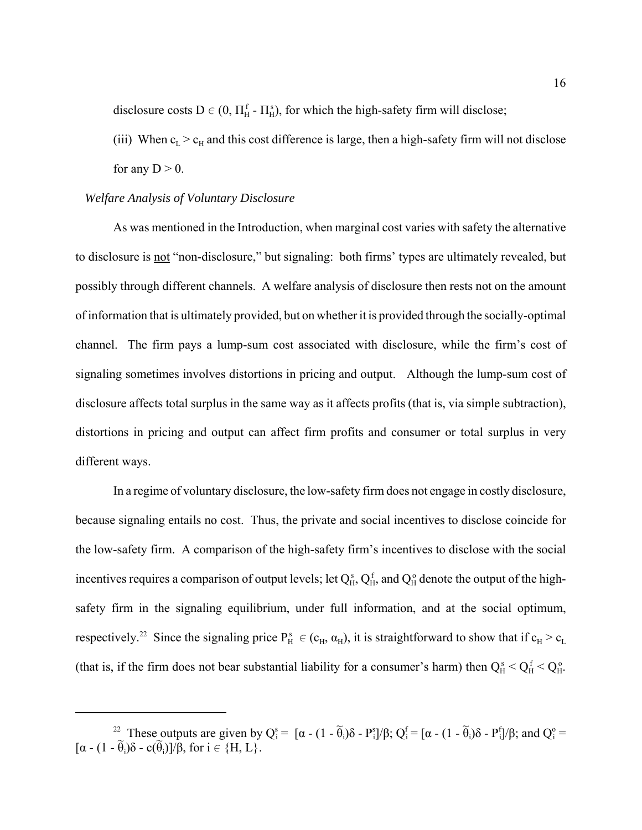disclosure costs  $D \in (0, \Pi_H^f - \Pi_H^s)$ , for which the high-safety firm will disclose;

(iii) When  $c_L > c_H$  and this cost difference is large, then a high-safety firm will not disclose

for any  $D > 0$ .

## *Welfare Analysis of Voluntary Disclosure*

As was mentioned in the Introduction, when marginal cost varies with safety the alternative to disclosure is not "non-disclosure," but signaling: both firms' types are ultimately revealed, but possibly through different channels. A welfare analysis of disclosure then rests not on the amount of information that is ultimately provided, but on whether it is provided through the socially-optimal channel. The firm pays a lump-sum cost associated with disclosure, while the firm's cost of signaling sometimes involves distortions in pricing and output. Although the lump-sum cost of disclosure affects total surplus in the same way as it affects profits (that is, via simple subtraction), distortions in pricing and output can affect firm profits and consumer or total surplus in very different ways.

In a regime of voluntary disclosure, the low-safety firm does not engage in costly disclosure, because signaling entails no cost. Thus, the private and social incentives to disclose coincide for the low-safety firm. A comparison of the high-safety firm's incentives to disclose with the social incentives requires a comparison of output levels; let  $Q_H^s$ ,  $Q_H^f$ , and  $Q_H^o$  denote the output of the highsafety firm in the signaling equilibrium, under full information, and at the social optimum, respectively.<sup>22</sup> Since the signaling price  $P_H^s \in (c_H, \alpha_H)$ , it is straightforward to show that if  $c_H > c_L$ (that is, if the firm does not bear substantial liability for a consumer's harm) then  $Q_H^s < Q_H^f < Q_H^o$ .

<sup>&</sup>lt;sup>22</sup> These outputs are given by  $Q_i^s = [\alpha - (1 - \widetilde{\theta})]$ <sub>i</sub>)δ - P<sup>s</sup><sub>i</sub>]/β; Q<sup>f</sup><sub>i</sub> = [α - (1 - θ̃ <sub>i</sub>)δ - P<sup>f</sup><sub>i</sub>]/β; and Q<sup>o</sup><sub>i</sub> =  $\left[\alpha - (1 - \widetilde{\theta}\right)]$  $\partial$ <sub>i</sub>)δ - c(θ <sub>i</sub>)]/β, for i  $\in \{H, L\}$ .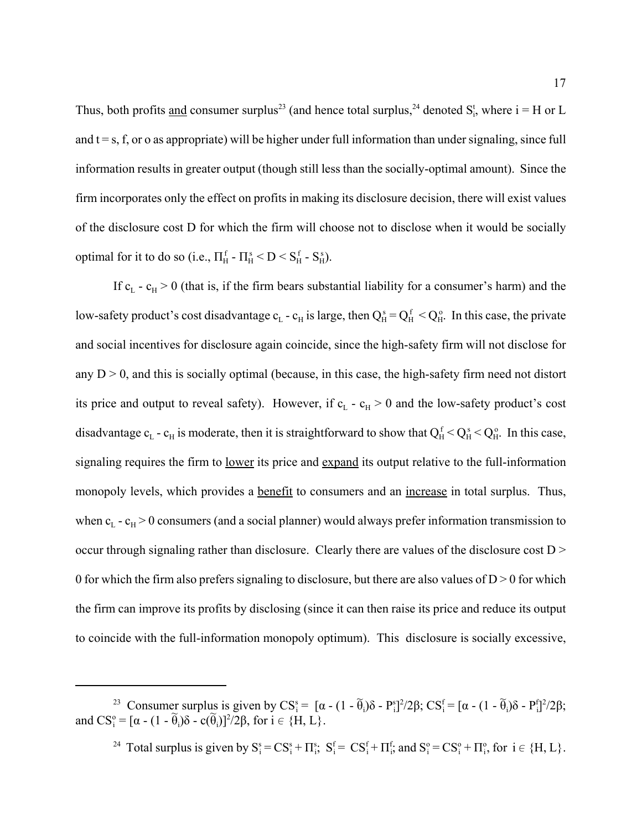Thus, both profits <u>and</u> consumer surplus<sup>23</sup> (and hence total surplus,<sup>24</sup> denoted  $S_i^t$ , where  $i = H$  or L and  $t = s$ , f, or o as appropriate) will be higher under full information than under signaling, since full information results in greater output (though still less than the socially-optimal amount). Since the firm incorporates only the effect on profits in making its disclosure decision, there will exist values of the disclosure cost D for which the firm will choose not to disclose when it would be socially optimal for it to do so (i.e.,  $\Pi_H^f$  -  $\Pi_H^s < D < S_H^f$  -  $S_H^s$ ).

If  $c_L$  -  $c_H$  > 0 (that is, if the firm bears substantial liability for a consumer's harm) and the low-safety product's cost disadvantage  $c_L$  -  $c_H$  is large, then  $Q_H^s = Q_H^f < Q_H^o$ . In this case, the private and social incentives for disclosure again coincide, since the high-safety firm will not disclose for any  $D > 0$ , and this is socially optimal (because, in this case, the high-safety firm need not distort its price and output to reveal safety). However, if  $c_L - c_H > 0$  and the low-safety product's cost disadvantage  $c_L$  -  $c_H$  is moderate, then it is straightforward to show that  $Q_H^f < Q_H^s < Q_H^o$ . In this case, signaling requires the firm to lower its price and expand its output relative to the full-information monopoly levels, which provides a <u>benefit</u> to consumers and an increase in total surplus. Thus, when  $c_L$  -  $c_H$  > 0 consumers (and a social planner) would always prefer information transmission to occur through signaling rather than disclosure. Clearly there are values of the disclosure cost D > 0 for which the firm also prefers signaling to disclosure, but there are also values of  $D > 0$  for which the firm can improve its profits by disclosing (since it can then raise its price and reduce its output to coincide with the full-information monopoly optimum). This disclosure is socially excessive,

<sup>&</sup>lt;sup>23</sup> Consumer surplus is given by  $CS_i^s = [\alpha - (1 - \widetilde{\theta})]$ <sub>i</sub>)δ - P<sup>s</sup><sub>i</sub>]<sup>2</sup>/2β; CS<sup>f</sup><sub>i</sub> = [α - (1 - θ̃ <sub>i</sub>)δ - P<sup>f</sup><sub>i</sub>]<sup>2</sup>/2β; and  $CS_i^o = [\alpha - (1 - \widetilde{\theta})]$  $\delta$  - c(θ) <sub>i</sub>)]<sup>2</sup>/2β, for i ∈ {H, L}.

<sup>&</sup>lt;sup>24</sup> Total surplus is given by  $S_i^s = CS_i^s + \Pi_i^s$ ;  $S_i^f = CS_i^f + \Pi_i^f$ ; and  $S_i^o = CS_i^o + \Pi_i^o$ , for  $i \in \{H, L\}$ .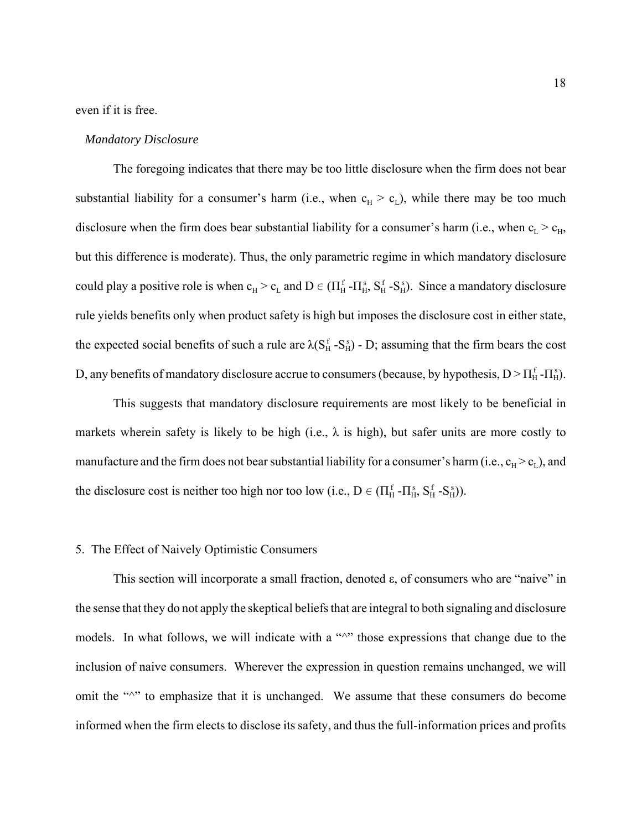even if it is free.

#### *Mandatory Disclosure*

The foregoing indicates that there may be too little disclosure when the firm does not bear substantial liability for a consumer's harm (i.e., when  $c_H > c_L$ ), while there may be too much disclosure when the firm does bear substantial liability for a consumer's harm (i.e., when  $c_L > c_H$ , but this difference is moderate). Thus, the only parametric regime in which mandatory disclosure could play a positive role is when  $c_H > c_L$  and  $D \in (\Pi_H^f - \Pi_H^s, S_H^f - S_H^s)$ . Since a mandatory disclosure rule yields benefits only when product safety is high but imposes the disclosure cost in either state, the expected social benefits of such a rule are  $\lambda(S_H^f - S_H^s)$  - D; assuming that the firm bears the cost D, any benefits of mandatory disclosure accrue to consumers (because, by hypothesis,  $D > \prod_{H}^{f} - \prod_{H}^{s}$ ).

This suggests that mandatory disclosure requirements are most likely to be beneficial in markets wherein safety is likely to be high (i.e.,  $\lambda$  is high), but safer units are more costly to manufacture and the firm does not bear substantial liability for a consumer's harm (i.e.,  $c_H > c_L$ ), and the disclosure cost is neither too high nor too low (i.e.,  $D \in (\Pi_H^f - \Pi_H^s, S_H^f - S_H^s)$ ).

#### 5. The Effect of Naively Optimistic Consumers

This section will incorporate a small fraction, denoted ε, of consumers who are "naive" in the sense that they do not apply the skeptical beliefs that are integral to both signaling and disclosure models. In what follows, we will indicate with a " $\wedge$ " those expressions that change due to the inclusion of naive consumers. Wherever the expression in question remains unchanged, we will omit the "<sup> $\land$ </sup>" to emphasize that it is unchanged. We assume that these consumers do become informed when the firm elects to disclose its safety, and thus the full-information prices and profits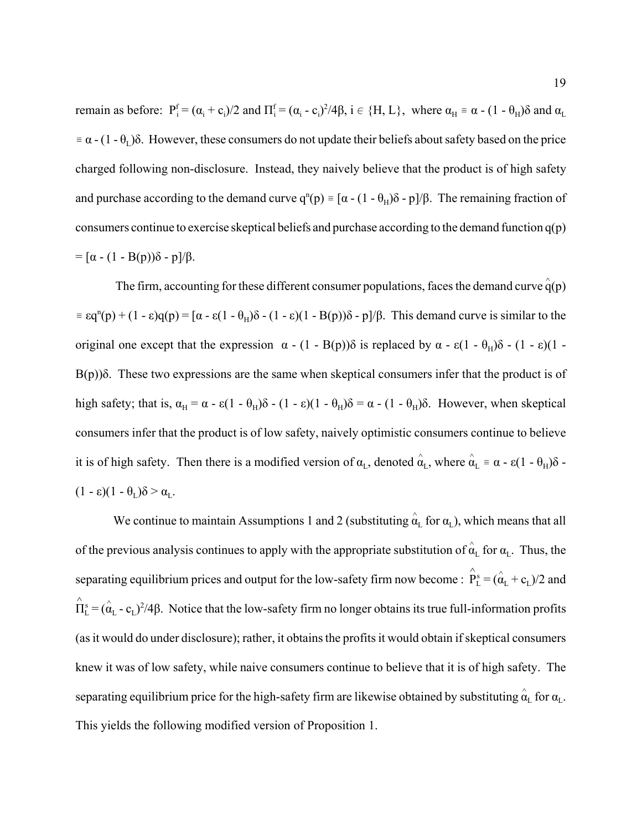remain as before:  $P_i^f = (\alpha_i + c_i)/2$  and  $\Pi_i^f = (\alpha_i - c_i)^2/4\beta$ ,  $i \in \{H, L\}$ , where  $\alpha_H = \alpha - (1 - \theta_H)\delta$  and  $\alpha_L$  $\equiv \alpha - (1 - \theta_L)\delta$ . However, these consumers do not update their beliefs about safety based on the price charged following non-disclosure. Instead, they naively believe that the product is of high safety and purchase according to the demand curve  $q^{n}(p) = [\alpha - (1 - \theta_{H})\delta - p]/\beta$ . The remaining fraction of consumers continue to exercise skeptical beliefs and purchase according to the demand function q(p)  $= [\alpha - (1 - B(p))\delta - p]/\beta.$ 

The firm, accounting for these different consumer populations, faces the demand curve  $\hat{q}(p)$  $\epsilon = \epsilon q^{n}(p) + (1 - \epsilon)q(p) = [\alpha - \epsilon(1 - \theta_{H})\delta - (1 - \epsilon)(1 - B(p))\delta - p]/\beta$ . This demand curve is similar to the original one except that the expression  $\alpha$  - (1 - B(p))δ is replaced by  $\alpha$  -  $\varepsilon$ (1 -  $\theta_H$ )δ - (1 -  $\varepsilon$ )(1 - $B(p)$ )δ. These two expressions are the same when skeptical consumers infer that the product is of high safety; that is,  $\alpha_H = \alpha - \varepsilon (1 - \theta_H) \delta - (1 - \varepsilon)(1 - \theta_H) \delta = \alpha - (1 - \theta_H) \delta$ . However, when skeptical consumers infer that the product is of low safety, naively optimistic consumers continue to believe it is of high safety. Then there is a modified version of  $\alpha_L$ , denoted  $\hat{\alpha}_L$ , where  $\hat{\alpha}_L = \alpha - \epsilon (1 - \theta_H) \delta$  - $(1 - \varepsilon)(1 - \theta_{\rm r})\delta > \alpha_{\rm r}$ .

We continue to maintain Assumptions 1 and 2 (substituting  $\hat{\alpha}_L$  for  $\alpha_L$ ), which means that all of the previous analysis continues to apply with the appropriate substitution of  $\hat{\alpha}_L$  for  $\alpha_L$ . Thus, the separating equilibrium prices and output for the low-safety firm now become :  $\hat{P}_L^s = (\hat{\alpha}_L + c_L)/2$  and  $\hat{\Pi}_{\rm L}^{\rm s} = (\hat{\alpha}_{\rm L} - {\rm c}_{\rm L})^2/4\beta$ . Notice that the low-safety firm no longer obtains its true full-information profits (as it would do under disclosure); rather, it obtains the profits it would obtain if skeptical consumers knew it was of low safety, while naive consumers continue to believe that it is of high safety. The separating equilibrium price for the high-safety firm are likewise obtained by substituting  $\hat{\alpha}_{\rm L}$  for  $\alpha_{\rm L}$ . This yields the following modified version of Proposition 1.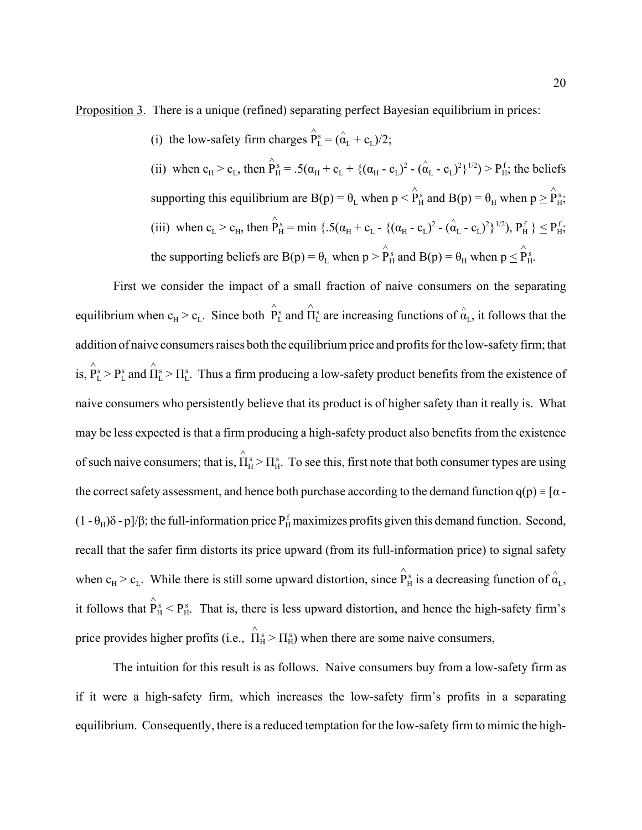Proposition 3. There is a unique (refined) separating perfect Bayesian equilibrium in prices:

(i) the low-safety firm charges  $\hat{P}_L^s = (\hat{\alpha}_L + c_L)/2$ ;

(ii) when  $c_H > c_L$ , then  $\hat{P}_H^s = .5(\alpha_H + c_L + {(\alpha_H - c_L)^2 - (\hat{\alpha}_L - c_L)^2})^{1/2} > P_H^f$ ; the beliefs supporting this equilibrium are  $B(p) = \theta_L$  when  $p < \hat{P}_H^s$  and  $B(p) = \theta_H$  when  $p \ge \hat{P}_H^s$ . (iii) when  $c_L > c_H$ , then  $\hat{P}^s_H = \min \{ .5(\alpha_H + c_L - \{ (\alpha_H - c_L)^2 - (\hat{\alpha}_L - c_L)^2 \}^{1/2} )$ ,  $P^f_H$   $\} \leq P^f_H$ , the supporting beliefs are B(p) =  $\theta_L$  when  $p > \hat{P}_H^s$  and B(p) =  $\theta_H$  when  $p \leq \hat{P}_H^s$ .

First we consider the impact of a small fraction of naive consumers on the separating equilibrium when  $c_H > c_L$ . Since both  $\hat{P}_L^s$  and  $\hat{\Pi}_L^s$  are increasing functions of  $\hat{\alpha}_L$ , it follows that the addition of naive consumers raises both the equilibrium price and profits for the low-safety firm; that is,  $\hat{P}_L^s > P_L^s$  and  $\hat{\Pi}_L^s > \Pi_L^s$ . Thus a firm producing a low-safety product benefits from the existence of naive consumers who persistently believe that its product is of higher safety than it really is. What may be less expected is that a firm producing a high-safety product also benefits from the existence of such naive consumers; that is,  $\hat{\Pi}_{H}^{s} > \Pi_{H}^{s}$ . To see this, first note that both consumer types are using the correct safety assessment, and hence both purchase according to the demand function  $q(p) = [\alpha -]$ (1 - θ<sub>H</sub>)δ - p]/β; the full-information price P<sub>H</sub> maximizes profits given this demand function. Second, recall that the safer firm distorts its price upward (from its full-information price) to signal safety when  $c_H > c_L$ . While there is still some upward distortion, since  $\hat{P}_H^s$  is a decreasing function of  $\hat{\alpha}_L$ , it follows that  $\hat{P}_H^s < P_H^s$ . That is, there is less upward distortion, and hence the high-safety firm's price provides higher profits (i.e.,  $\hat{\Pi}_{H}^{s} > \Pi_{H}^{s}$ ) when there are some naive consumers,

The intuition for this result is as follows. Naive consumers buy from a low-safety firm as if it were a high-safety firm, which increases the low-safety firm's profits in a separating equilibrium. Consequently, there is a reduced temptation for the low-safety firm to mimic the high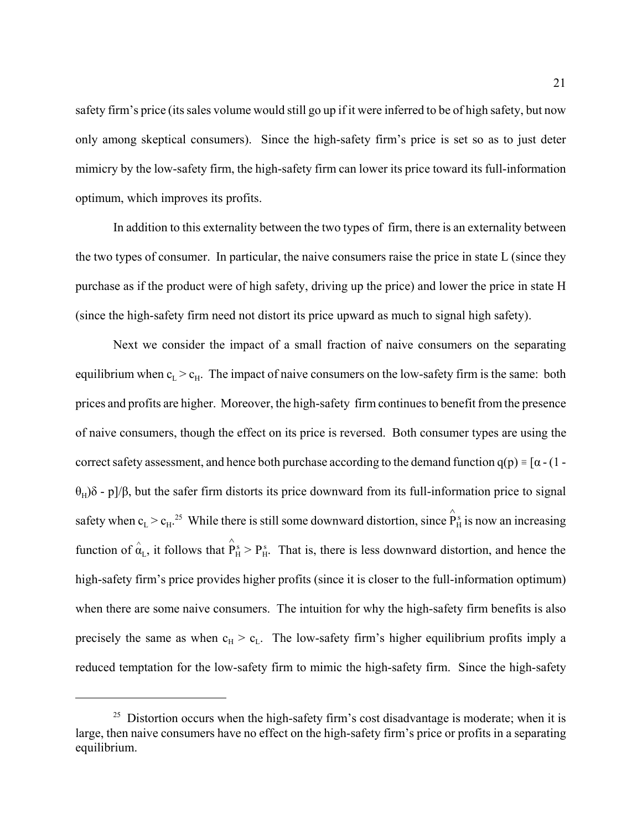safety firm's price (its sales volume would still go up if it were inferred to be of high safety, but now only among skeptical consumers). Since the high-safety firm's price is set so as to just deter mimicry by the low-safety firm, the high-safety firm can lower its price toward its full-information optimum, which improves its profits.

In addition to this externality between the two types of firm, there is an externality between the two types of consumer. In particular, the naive consumers raise the price in state L (since they purchase as if the product were of high safety, driving up the price) and lower the price in state H (since the high-safety firm need not distort its price upward as much to signal high safety).

Next we consider the impact of a small fraction of naive consumers on the separating equilibrium when  $c<sub>L</sub> > c<sub>H</sub>$ . The impact of naive consumers on the low-safety firm is the same: both prices and profits are higher. Moreover, the high-safety firm continues to benefit from the presence of naive consumers, though the effect on its price is reversed. Both consumer types are using the correct safety assessment, and hence both purchase according to the demand function  $q(p) = [\alpha - (1$  $θ<sub>H</sub>$ )δ - p]/β, but the safer firm distorts its price downward from its full-information price to signal safety when  $c_L > c_H$ .<sup>25</sup> While there is still some downward distortion, since  $\hat{P}_H^s$  is now an increasing function of  $\hat{\alpha}_L$ , it follows that  $\hat{P}_H^s > P_H^s$ . That is, there is less downward distortion, and hence the high-safety firm's price provides higher profits (since it is closer to the full-information optimum) when there are some naive consumers. The intuition for why the high-safety firm benefits is also precisely the same as when  $c_H > c_L$ . The low-safety firm's higher equilibrium profits imply a reduced temptation for the low-safety firm to mimic the high-safety firm. Since the high-safety

 $25$  Distortion occurs when the high-safety firm's cost disadvantage is moderate; when it is large, then naive consumers have no effect on the high-safety firm's price or profits in a separating equilibrium.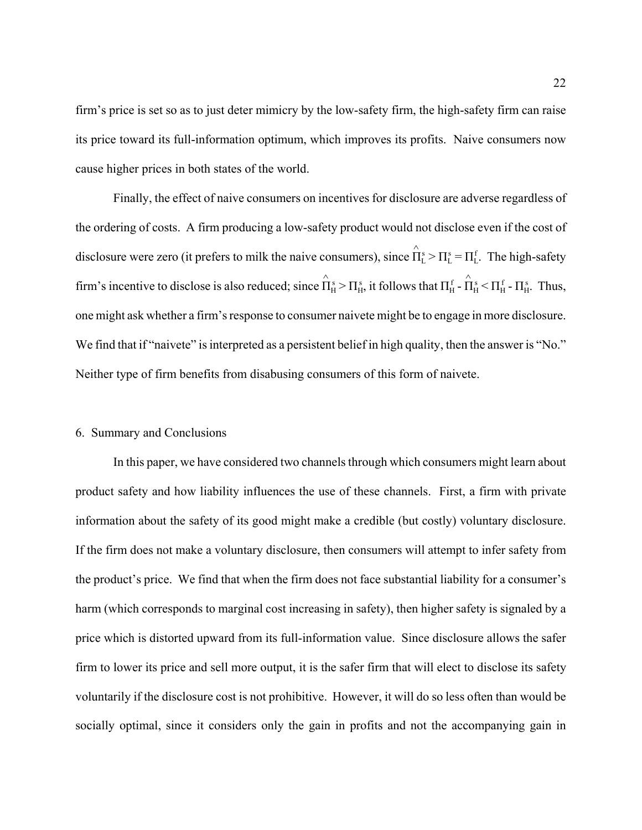firm's price is set so as to just deter mimicry by the low-safety firm, the high-safety firm can raise its price toward its full-information optimum, which improves its profits. Naive consumers now cause higher prices in both states of the world.

Finally, the effect of naive consumers on incentives for disclosure are adverse regardless of the ordering of costs. A firm producing a low-safety product would not disclose even if the cost of disclosure were zero (it prefers to milk the naive consumers), since  $\hat{\Pi}^s_L > \Pi^s_L = \Pi^f_L$ . The high-safety firm's incentive to disclose is also reduced; since  $\hat{\Pi}_{H}^{s} > \Pi_{H}^{s}$ , it follows that  $\Pi_{H}^{f}$  -  $\hat{\Pi}_{H}^{s} < \Pi_{H}^{f}$  -  $\Pi_{H}^{s}$ . Thus, one might ask whether a firm's response to consumer naivete might be to engage in more disclosure. We find that if "naivete" is interpreted as a persistent belief in high quality, then the answer is "No." Neither type of firm benefits from disabusing consumers of this form of naivete.

## 6. Summary and Conclusions

In this paper, we have considered two channels through which consumers might learn about product safety and how liability influences the use of these channels. First, a firm with private information about the safety of its good might make a credible (but costly) voluntary disclosure. If the firm does not make a voluntary disclosure, then consumers will attempt to infer safety from the product's price. We find that when the firm does not face substantial liability for a consumer's harm (which corresponds to marginal cost increasing in safety), then higher safety is signaled by a price which is distorted upward from its full-information value. Since disclosure allows the safer firm to lower its price and sell more output, it is the safer firm that will elect to disclose its safety voluntarily if the disclosure cost is not prohibitive. However, it will do so less often than would be socially optimal, since it considers only the gain in profits and not the accompanying gain in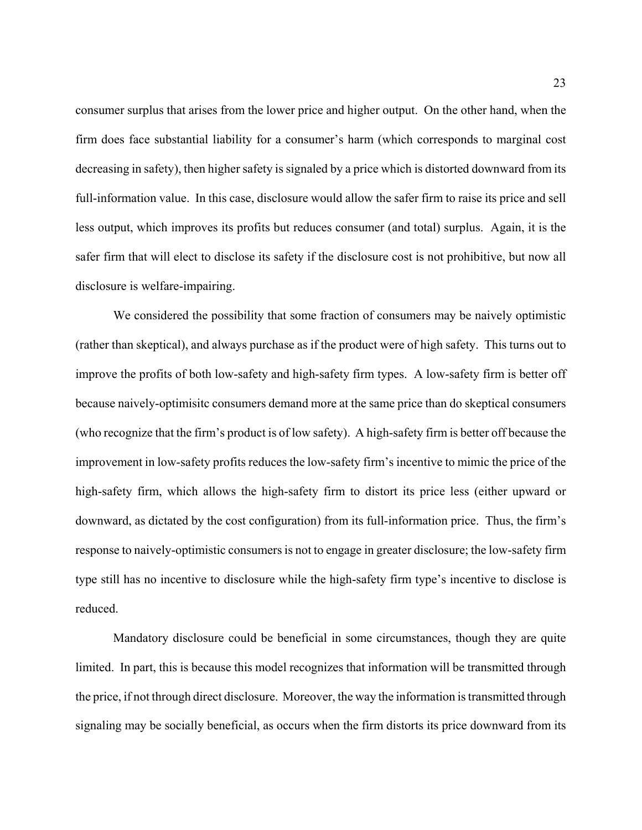consumer surplus that arises from the lower price and higher output. On the other hand, when the firm does face substantial liability for a consumer's harm (which corresponds to marginal cost decreasing in safety), then higher safety is signaled by a price which is distorted downward from its full-information value. In this case, disclosure would allow the safer firm to raise its price and sell less output, which improves its profits but reduces consumer (and total) surplus. Again, it is the safer firm that will elect to disclose its safety if the disclosure cost is not prohibitive, but now all disclosure is welfare-impairing.

We considered the possibility that some fraction of consumers may be naively optimistic (rather than skeptical), and always purchase as if the product were of high safety. This turns out to improve the profits of both low-safety and high-safety firm types. A low-safety firm is better off because naively-optimisitc consumers demand more at the same price than do skeptical consumers (who recognize that the firm's product is of low safety). A high-safety firm is better off because the improvement in low-safety profits reduces the low-safety firm's incentive to mimic the price of the high-safety firm, which allows the high-safety firm to distort its price less (either upward or downward, as dictated by the cost configuration) from its full-information price. Thus, the firm's response to naively-optimistic consumers is not to engage in greater disclosure; the low-safety firm type still has no incentive to disclosure while the high-safety firm type's incentive to disclose is reduced.

Mandatory disclosure could be beneficial in some circumstances, though they are quite limited. In part, this is because this model recognizes that information will be transmitted through the price, if not through direct disclosure. Moreover, the way the information is transmitted through signaling may be socially beneficial, as occurs when the firm distorts its price downward from its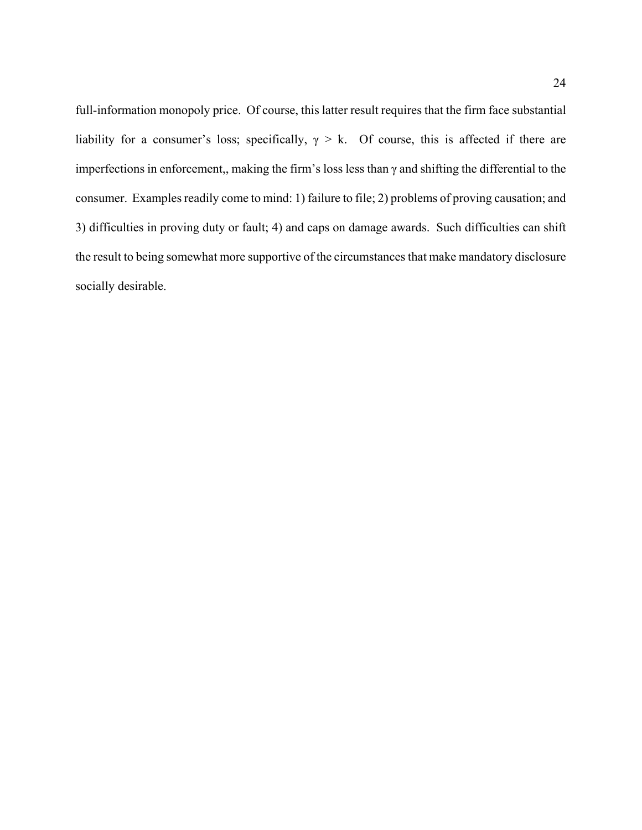full-information monopoly price. Of course, this latter result requires that the firm face substantial liability for a consumer's loss; specifically,  $\gamma > k$ . Of course, this is affected if there are imperfections in enforcement,, making the firm's loss less than γ and shifting the differential to the consumer. Examples readily come to mind: 1) failure to file; 2) problems of proving causation; and 3) difficulties in proving duty or fault; 4) and caps on damage awards. Such difficulties can shift the result to being somewhat more supportive of the circumstances that make mandatory disclosure socially desirable.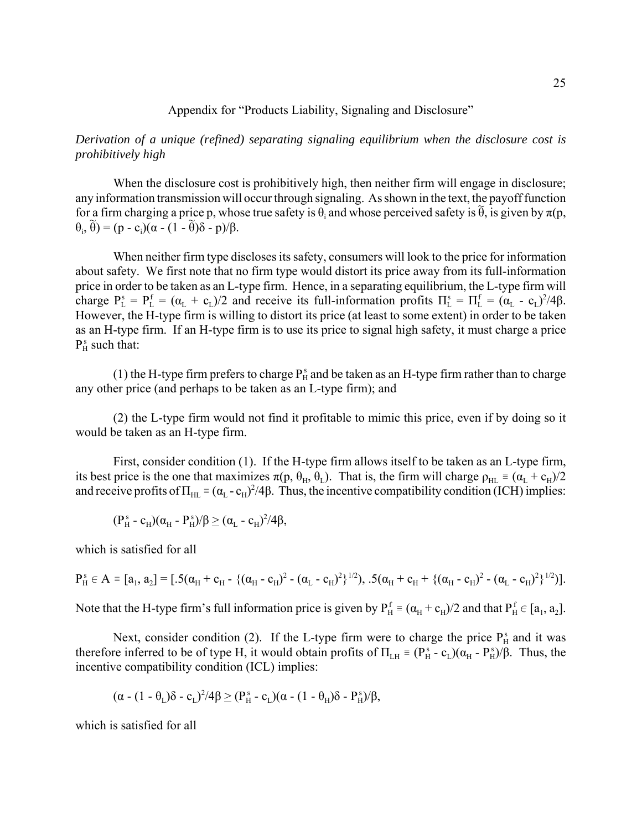## Appendix for "Products Liability, Signaling and Disclosure"

*Derivation of a unique (refined) separating signaling equilibrium when the disclosure cost is prohibitively high*

When the disclosure cost is prohibitively high, then neither firm will engage in disclosure; any information transmission will occur through signaling. As shown in the text, the payoff function  $\lim_{n \to \infty} \frac{f(n)}{n}$  incrimation durinosity with occur anongli signaling. The shown in the text, the payon ranchors  $θ<sub>i</sub>, θ̂) = (p - c<sub>i</sub>)(α - (1 - θ)δ - p)/β.$ 

When neither firm type discloses its safety, consumers will look to the price for information about safety. We first note that no firm type would distort its price away from its full-information price in order to be taken as an L-type firm. Hence, in a separating equilibrium, the L-type firm will charge  $P_L^s = P_L^f = (\alpha_L + c_L)/2$  and receive its full-information profits  $\Pi_L^s = \Pi_L^f = (\alpha_L - c_L)^2/4\beta$ . However, the H-type firm is willing to distort its price (at least to some extent) in order to be taken as an H-type firm. If an H-type firm is to use its price to signal high safety, it must charge a price  $P_H^s$  such that:

(1) the H-type firm prefers to charge  $P_H^s$  and be taken as an H-type firm rather than to charge any other price (and perhaps to be taken as an L-type firm); and

(2) the L-type firm would not find it profitable to mimic this price, even if by doing so it would be taken as an H-type firm.

First, consider condition (1). If the H-type firm allows itself to be taken as an L-type firm, its best price is the one that maximizes  $\pi(p, \theta_H, \theta_L)$ . That is, the firm will charge  $\rho_{HL} \equiv (\alpha_L + c_H)/2$ and receive profits of  $\Pi_{HL} = (\alpha_L - c_H)^2/4\beta$ . Thus, the incentive compatibility condition (ICH) implies:

$$
(P_{\rm H}^{\rm s}\text{-}c_{\rm H})(\alpha_{\rm H}\text{-}P_{\rm H}^{\rm s})/\beta\geq(\alpha_{\rm L}\text{-}c_{\rm H})^2/4\beta,
$$

which is satisfied for all

$$
P_H^s \in A = [a_1, a_2] = [.5(\alpha_H + c_H - \{(a_H - c_H)^2 - (\alpha_L - c_H)^2\}^{1/2}), .5(\alpha_H + c_H + \{(a_H - c_H)^2 - (\alpha_L - c_H)^2\}^{1/2})].
$$

Note that the H-type firm's full information price is given by  $P_H^f = (\alpha_H + c_H)/2$  and that  $P_H^f \in [a_1, a_2]$ .

Next, consider condition (2). If the L-type firm were to charge the price  $P_H^s$  and it was therefore inferred to be of type H, it would obtain profits of  $\Pi_{LH} = (P_H^s - c_L)(\alpha_H - P_H^s)/\beta$ . Thus, the incentive compatibility condition (ICL) implies:

$$
(\alpha\cdot(1-\theta_L)\delta\cdot c_L)^2/4\beta\geq (P^{\,s}_H\cdot c_L)(\alpha\cdot(1-\theta_H)\delta\cdot P^{\,s}_H)/\beta,
$$

which is satisfied for all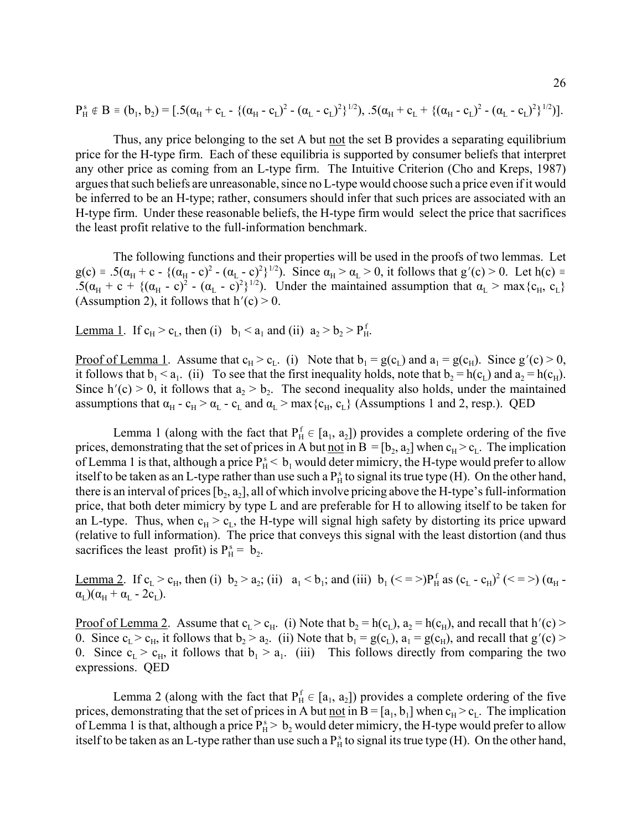$$
P_H^s \notin B \equiv (b_1, b_2) = [.5(\alpha_H + c_L - \{(\alpha_H - c_L)^2 - (\alpha_L - c_L)^2\}^{1/2}), .5(\alpha_H + c_L + \{(\alpha_H - c_L)^2 - (\alpha_L - c_L)^2\}^{1/2})].
$$

Thus, any price belonging to the set A but not the set B provides a separating equilibrium price for the H-type firm. Each of these equilibria is supported by consumer beliefs that interpret any other price as coming from an L-type firm. The Intuitive Criterion (Cho and Kreps, 1987) argues that such beliefs are unreasonable, since no L-type would choose such a price even if it would be inferred to be an H-type; rather, consumers should infer that such prices are associated with an H-type firm. Under these reasonable beliefs, the H-type firm would select the price that sacrifices the least profit relative to the full-information benchmark.

The following functions and their properties will be used in the proofs of two lemmas. Let  $g(c) = .5(\alpha_H + c - {(\alpha_H - c)^2 - (\alpha_L - c)^2})^{1/2})$ . Since  $\alpha_H > \alpha_L > 0$ , it follows that  $g'(c) > 0$ . Let  $h(c) =$ .5( $\alpha_H$  + c + {( $\alpha_H$  - c)<sup>2</sup> - ( $\alpha_L$  - c)<sup>2</sup>}<sup>1/2</sup>). Under the maintained assumption that  $\alpha_L$  > max{c<sub>H</sub>, c<sub>L</sub>} (Assumption 2), it follows that  $h'(c) > 0$ .

<u>Lemma 1</u>. If  $c_H > c_L$ , then (i)  $b_1 < a_1$  and (ii)  $a_2 > b_2 > P_H^f$ .

<u>Proof of Lemma 1</u>. Assume that  $c_H > c_L$ . (i) Note that  $b_1 = g(c_L)$  and  $a_1 = g(c_H)$ . Since  $g'(c) > 0$ , it follows that  $b_1 < a_1$ . (ii) To see that the first inequality holds, note that  $b_2 = h(c_1)$  and  $a_2 = h(c_H)$ . Since h'(c) > 0, it follows that  $a_2 > b_2$ . The second inequality also holds, under the maintained assumptions that  $\alpha_H - c_H > \alpha_L - c_L$  and  $\alpha_L > \max\{c_H, c_L\}$  (Assumptions 1 and 2, resp.). QED

Lemma 1 (along with the fact that  $P_H^f \in [a_1, a_2]$ ) provides a complete ordering of the five prices, demonstrating that the set of prices in A but <u>not</u> in B =  $[b_2, a_2]$  when  $c_H > c_L$ . The implication of Lemma 1 is that, although a price  $P_H^s < b_1$  would deter mimicry, the H-type would prefer to allow itself to be taken as an L-type rather than use such a  $P_H^s$  to signal its true type (H). On the other hand, there is an interval of prices  $[b_2, a_2]$ , all of which involve pricing above the H-type's full-information price, that both deter mimicry by type L and are preferable for H to allowing itself to be taken for an L-type. Thus, when  $c_H > c_L$ , the H-type will signal high safety by distorting its price upward (relative to full information). The price that conveys this signal with the least distortion (and thus sacrifices the least profit) is  $P_H^s = b_2$ .

Lemma 2. If  $c_L > c_H$ , then (i)  $b_2 > a_2$ ; (ii)  $a_1 < b_1$ ; and (iii)  $b_1$  ( $\lt = \gt) P_H^f$  as ( $c_L - c_H$ )<sup>2</sup> ( $\lt = \gt)$ ) ( $\alpha_H$ - $\alpha_{\text{L}}$ )( $\alpha_{\text{H}}$  +  $\alpha_{\text{L}}$  - 2c<sub>L</sub>).

<u>Proof of Lemma 2</u>. Assume that  $c_L > c_H$ . (i) Note that  $b_2 = h(c_L)$ ,  $a_2 = h(c_H)$ , and recall that  $h'(c)$ 0. Since  $c_L > c_H$ , it follows that  $b_2 > a_2$ . (ii) Note that  $b_1 = g(c_L)$ ,  $a_1 = g(c_H)$ , and recall that  $g'(c)$ 0. Since  $c_L > c_H$ , it follows that  $b_1 > a_1$ . (iii) This follows directly from comparing the two expressions. QED

Lemma 2 (along with the fact that  $P_H^f \in [a_1, a_2]$ ) provides a complete ordering of the five prices, demonstrating that the set of prices in A but <u>not</u> in  $B = [a_1, b_1]$  when  $c_H > c_L$ . The implication of Lemma 1 is that, although a price  $P_H^s > b_2$  would deter mimicry, the H-type would prefer to allow itself to be taken as an L-type rather than use such a  $P_H^s$  to signal its true type (H). On the other hand,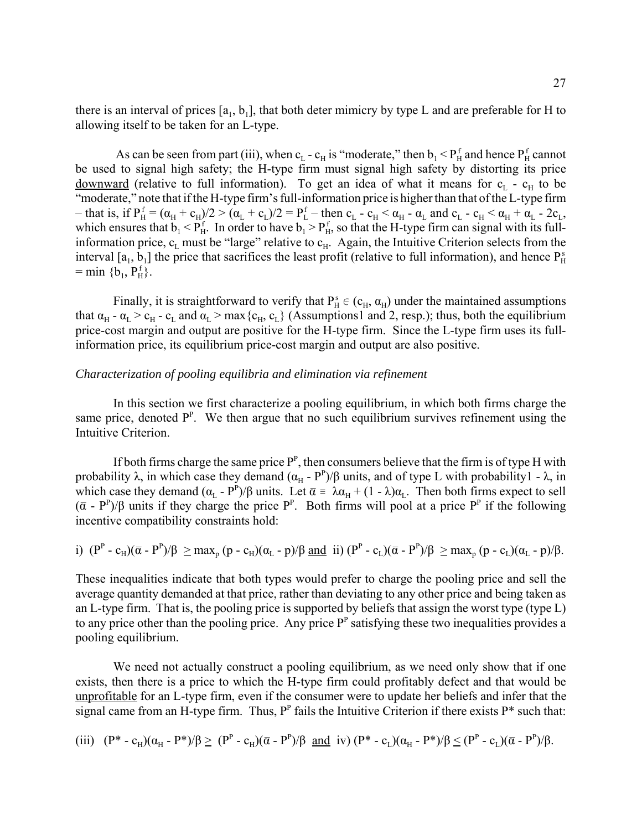there is an interval of prices  $[a_1, b_1]$ , that both deter mimicry by type L and are preferable for H to allowing itself to be taken for an L-type.

As can be seen from part (iii), when c<sub>L</sub> - c<sub>H</sub> is "moderate," then  $b_1 < P_H^f$  and hence  $P_H^f$  cannot be used to signal high safety; the H-type firm must signal high safety by distorting its price downward (relative to full information). To get an idea of what it means for  $c<sub>L</sub>$  -  $c<sub>H</sub>$  to be "moderate," note that if the H-type firm's full-information price is higher than that of the L-type firm - that is, if  $P_H^f = (\alpha_H + c_H)/2 > (\alpha_L + c_L)/2 = P_L^f$  – then  $c_L$  -  $c_H < \alpha_H$  -  $\alpha_L$  and  $c_L$  -  $c_H < \alpha_H + \alpha_L$  -  $2c_L$ , which ensures that  $b_1 < P_H^f$ . In order to have  $b_1 > P_H^f$ , so that the H-type firm can signal with its fullinformation price,  $c_L$  must be "large" relative to  $c_H$ . Again, the Intuitive Criterion selects from the interval  $[a_1, b_1]$  the price that sacrifices the least profit (relative to full information), and hence  $P_H^s$  $=$  min {b<sub>1</sub>, P<sub>H</sub>}.

Finally, it is straightforward to verify that  $P_H^s \in (c_H, \alpha_H)$  under the maintained assumptions that  $\alpha_H$  -  $\alpha_L > c_H$  -  $c_L$  and  $\alpha_L > max\{c_H, c_L\}$  (Assumptions1 and 2, resp.); thus, both the equilibrium price-cost margin and output are positive for the H-type firm. Since the L-type firm uses its fullinformation price, its equilibrium price-cost margin and output are also positive.

## *Characterization of pooling equilibria and elimination via refinement*

In this section we first characterize a pooling equilibrium, in which both firms charge the same price, denoted  $P^P$ . We then argue that no such equilibrium survives refinement using the Intuitive Criterion.

If both firms charge the same price  $P^P$ , then consumers believe that the firm is of type H with probability  $\lambda$ , in which case they demand  $(\alpha_H - P^P)/\beta$  units, and of type L with probability l -  $\lambda$ , in which case they demand  $(\alpha_L - P^P)/\beta$  units. Let  $\overline{\alpha} = \lambda \alpha_H + (1 - \lambda) \alpha_L$ . Then both firms expect to sell  $(\bar{\alpha} - P^P)/\beta$  units if they charge the price  $P^P$ . Both firms will pool at a price  $P^P$  if the following incentive compatibility constraints hold:

i) 
$$
(P^P - c_H)(\overline{\alpha} - P^P)/\beta \ge \max_p (p - c_H)(\alpha_L - p)/\beta
$$
 and ii)  $(P^P - c_L)(\overline{\alpha} - P^P)/\beta \ge \max_p (p - c_L)(\alpha_L - p)/\beta$ .

These inequalities indicate that both types would prefer to charge the pooling price and sell the average quantity demanded at that price, rather than deviating to any other price and being taken as an L-type firm. That is, the pooling price is supported by beliefs that assign the worst type (type L) to any price other than the pooling price. Any price  $P<sup>P</sup>$  satisfying these two inequalities provides a pooling equilibrium.

We need not actually construct a pooling equilibrium, as we need only show that if one exists, then there is a price to which the H-type firm could profitably defect and that would be unprofitable for an L-type firm, even if the consumer were to update her beliefs and infer that the signal came from an H-type firm. Thus,  $P<sup>P</sup>$  fails the Intuitive Criterion if there exists  $P^*$  such that:

$$
\text{(iii)} \quad (P^* - c_H)(\alpha_H - P^*)/\beta \geq (P^P - c_H)(\overline{\alpha} - P^P)/\beta \text{ and } \text{iv)}\ (P^* - c_L)(\alpha_H - P^*)/\beta \leq (P^P - c_L)(\overline{\alpha} - P^P)/\beta.
$$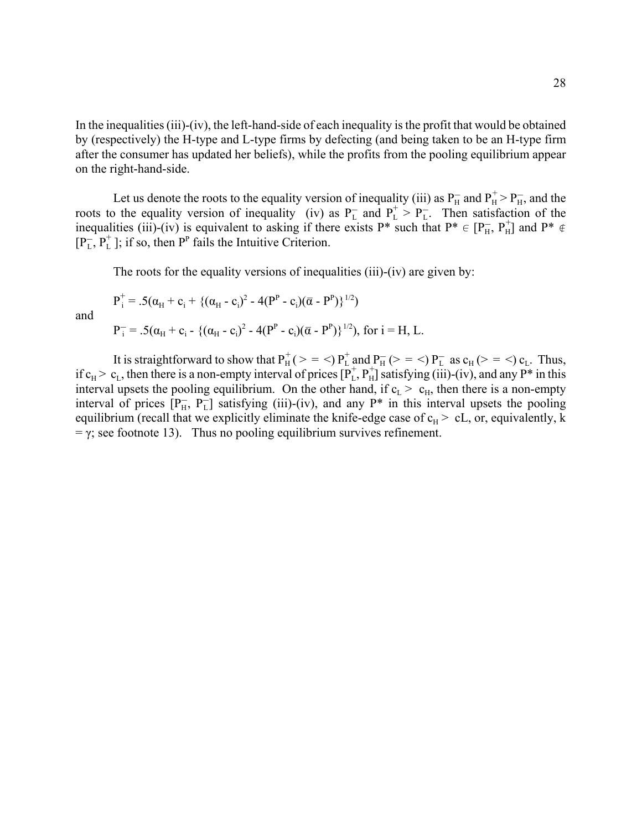In the inequalities (iii)-(iv), the left-hand-side of each inequality is the profit that would be obtained by (respectively) the H-type and L-type firms by defecting (and being taken to be an H-type firm after the consumer has updated her beliefs), while the profits from the pooling equilibrium appear on the right-hand-side.

Let us denote the roots to the equality version of inequality (iii) as  $P_{H}^-$  and  $P_{H}^+$  >  $P_{H}^-$ , and the roots to the equality version of inequality (iv) as  $P_L^-$  and  $P_L^+ > P_L^-$ . Then satisfaction of the inequalities (iii)-(iv) is equivalent to asking if there exists P\* such that  $P^* \in [P_H^-, P_H^+]$  and  $P^* \notin$  $[P_L^-, P_L^+]$ ; if so, then  $P^P$  fails the Intuitive Criterion.

The roots for the equality versions of inequalities (iii)-(iv) are given by:

$$
P_i^+ = .5(\alpha_H + c_i + \{(\alpha_H - c_i)^2 - 4(P^P - c_i)(\overline{\alpha} - P^P)\}^{1/2})
$$
  
and  

$$
P_i^- = .5(\alpha_H + c_i - \{(\alpha_H - c_i)^2 - 4(P^P - c_i)(\overline{\alpha} - P^P)\}^{1/2}), \text{ for } i = H, L.
$$

It is straightforward to show that  $P_H^+ (> = <) P_L^+$  and  $P_H^- (> = <) P_L^-$  as  $c_H(>= <) c_L$ . Thus, if  $c_H > c_L$ , then there is a non-empty interval of prices  $[\overline{P}_L^+, P_H^+]$  satisfying (iii)-(iv), and any  $P^*$  in this interval upsets the pooling equilibrium. On the other hand, if  $c_L > c_H$ , then there is a non-empty interval of prices  $[P_{H}^{-}, P_{L}^{-}]$  satisfying (iii)-(iv), and any P<sup>\*</sup> in this interval upsets the pooling equilibrium (recall that we explicitly eliminate the knife-edge case of  $c_H$  > cL, or, equivalently, k  $= \gamma$ ; see footnote 13). Thus no pooling equilibrium survives refinement.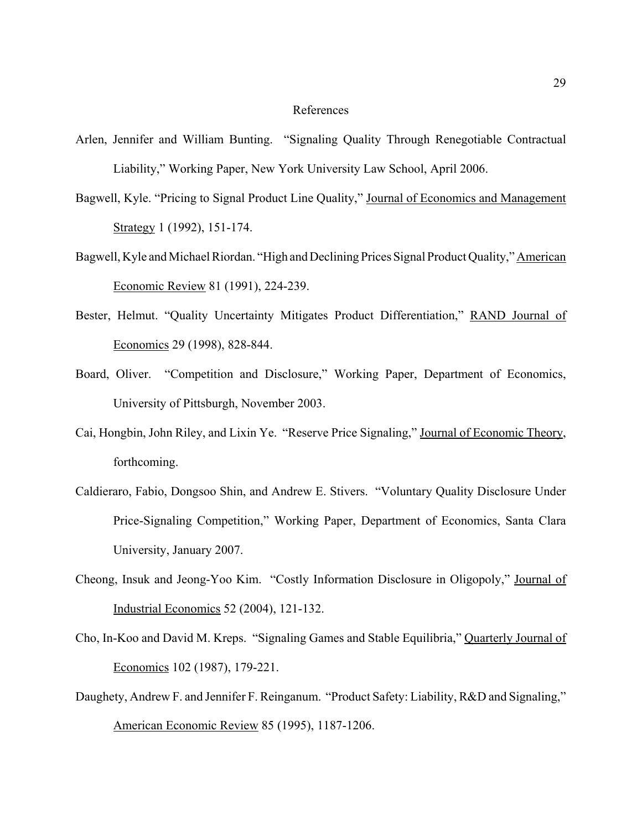## References

- Arlen, Jennifer and William Bunting. "Signaling Quality Through Renegotiable Contractual Liability," Working Paper, New York University Law School, April 2006.
- Bagwell, Kyle. "Pricing to Signal Product Line Quality," Journal of Economics and Management Strategy 1 (1992), 151-174.
- Bagwell, Kyle and Michael Riordan. "High and Declining Prices Signal Product Quality," American Economic Review 81 (1991), 224-239.
- Bester, Helmut. "Quality Uncertainty Mitigates Product Differentiation," RAND Journal of Economics 29 (1998), 828-844.
- Board, Oliver. "Competition and Disclosure," Working Paper, Department of Economics, University of Pittsburgh, November 2003.
- Cai, Hongbin, John Riley, and Lixin Ye. "Reserve Price Signaling," Journal of Economic Theory, forthcoming.
- Caldieraro, Fabio, Dongsoo Shin, and Andrew E. Stivers. "Voluntary Quality Disclosure Under Price-Signaling Competition," Working Paper, Department of Economics, Santa Clara University, January 2007.
- Cheong, Insuk and Jeong-Yoo Kim. "Costly Information Disclosure in Oligopoly," Journal of Industrial Economics 52 (2004), 121-132.
- Cho, In-Koo and David M. Kreps. "Signaling Games and Stable Equilibria," Quarterly Journal of Economics 102 (1987), 179-221.
- Daughety, Andrew F. and Jennifer F. Reinganum. "Product Safety: Liability, R&D and Signaling," American Economic Review 85 (1995), 1187-1206.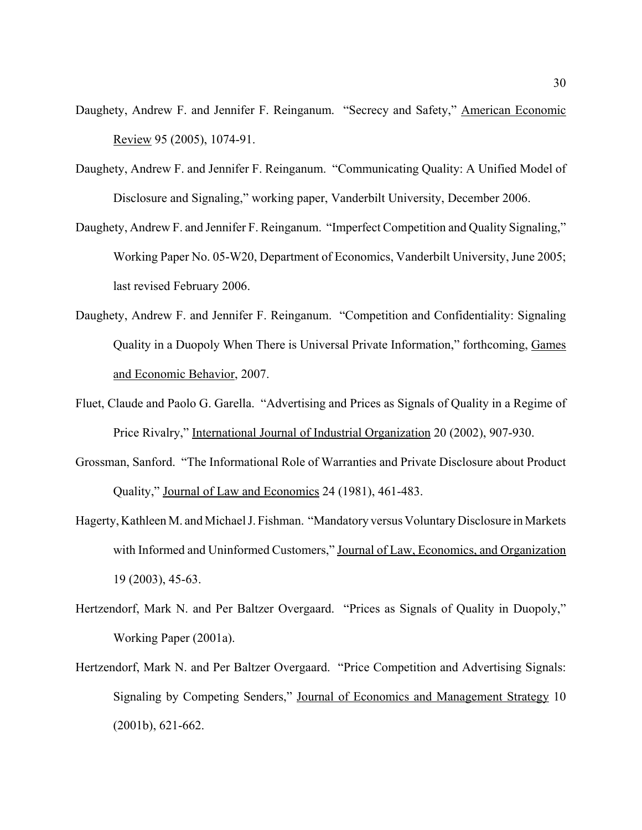- Daughety, Andrew F. and Jennifer F. Reinganum. "Secrecy and Safety," American Economic Review 95 (2005), 1074-91.
- Daughety, Andrew F. and Jennifer F. Reinganum. "Communicating Quality: A Unified Model of Disclosure and Signaling," working paper, Vanderbilt University, December 2006.
- Daughety, Andrew F. and Jennifer F. Reinganum. "Imperfect Competition and Quality Signaling," Working Paper No. 05-W20, Department of Economics, Vanderbilt University, June 2005; last revised February 2006.
- Daughety, Andrew F. and Jennifer F. Reinganum. "Competition and Confidentiality: Signaling Quality in a Duopoly When There is Universal Private Information," forthcoming, Games and Economic Behavior, 2007.
- Fluet, Claude and Paolo G. Garella. "Advertising and Prices as Signals of Quality in a Regime of Price Rivalry," International Journal of Industrial Organization 20 (2002), 907-930.
- Grossman, Sanford. "The Informational Role of Warranties and Private Disclosure about Product Quality," Journal of Law and Economics 24 (1981), 461-483.
- Hagerty, Kathleen M. and Michael J. Fishman. "Mandatory versus Voluntary Disclosure in Markets with Informed and Uninformed Customers," Journal of Law, Economics, and Organization 19 (2003), 45-63.
- Hertzendorf, Mark N. and Per Baltzer Overgaard. "Prices as Signals of Quality in Duopoly," Working Paper (2001a).
- Hertzendorf, Mark N. and Per Baltzer Overgaard. "Price Competition and Advertising Signals: Signaling by Competing Senders," Journal of Economics and Management Strategy 10 (2001b), 621-662.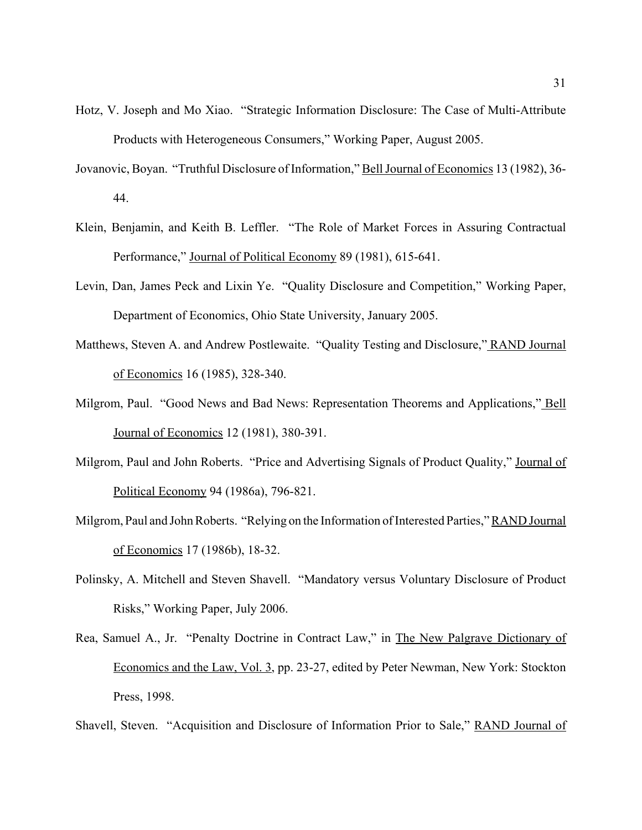- Hotz, V. Joseph and Mo Xiao. "Strategic Information Disclosure: The Case of Multi-Attribute Products with Heterogeneous Consumers," Working Paper, August 2005.
- Jovanovic, Boyan. "Truthful Disclosure of Information," Bell Journal of Economics 13 (1982), 36- 44.
- Klein, Benjamin, and Keith B. Leffler. "The Role of Market Forces in Assuring Contractual Performance," Journal of Political Economy 89 (1981), 615-641.
- Levin, Dan, James Peck and Lixin Ye. "Quality Disclosure and Competition," Working Paper, Department of Economics, Ohio State University, January 2005.
- Matthews, Steven A. and Andrew Postlewaite. "Quality Testing and Disclosure," RAND Journal of Economics 16 (1985), 328-340.
- Milgrom, Paul. "Good News and Bad News: Representation Theorems and Applications," Bell Journal of Economics 12 (1981), 380-391.
- Milgrom, Paul and John Roberts. "Price and Advertising Signals of Product Quality," Journal of Political Economy 94 (1986a), 796-821.
- Milgrom, Paul and John Roberts. "Relying on the Information of Interested Parties," RAND Journal of Economics 17 (1986b), 18-32.
- Polinsky, A. Mitchell and Steven Shavell. "Mandatory versus Voluntary Disclosure of Product Risks," Working Paper, July 2006.
- Rea, Samuel A., Jr. "Penalty Doctrine in Contract Law," in The New Palgrave Dictionary of Economics and the Law, Vol. 3, pp. 23-27, edited by Peter Newman, New York: Stockton Press, 1998.

Shavell, Steven. "Acquisition and Disclosure of Information Prior to Sale," RAND Journal of